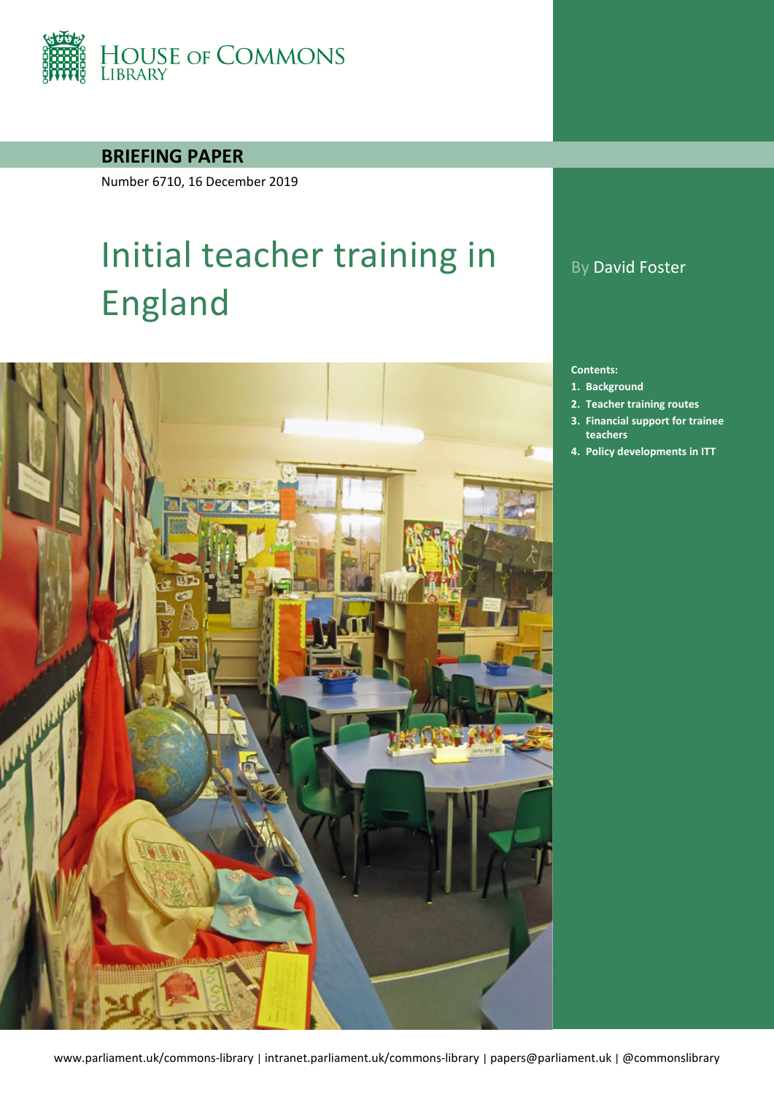

### **BRIEFING PAPER**

Number 6710, 16 December 2019

# Initial teacher training in England



## By David Foster

#### **Contents:**

- **1. [Background](#page-3-0)**
- **2. [Teacher training routes](#page-6-0)**
- **3. Financial [support for trainee](#page-14-0)  [teachers](#page-14-0)**
- **4. [Policy developments in ITT](#page-17-0)**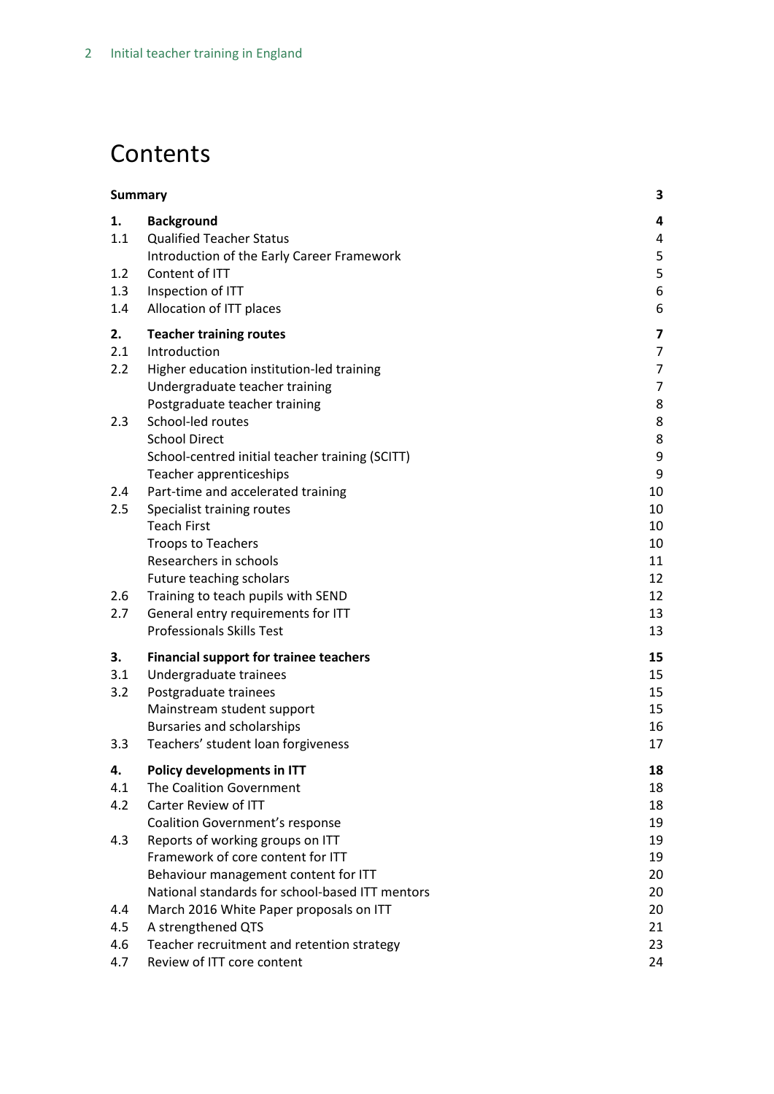## **Contents**

| <b>Summary</b> |                                                                                         | 3              |
|----------------|-----------------------------------------------------------------------------------------|----------------|
| 1.             | <b>Background</b>                                                                       | 4              |
| 1.1            | <b>Qualified Teacher Status</b>                                                         | 4              |
|                | Introduction of the Early Career Framework                                              | 5              |
| 1.2            | Content of ITT                                                                          | 5              |
| 1.3            | Inspection of ITT                                                                       | 6              |
| 1.4            | Allocation of ITT places                                                                | 6              |
| 2.             | <b>Teacher training routes</b>                                                          | 7              |
| 2.1            | Introduction                                                                            | $\overline{7}$ |
| 2.2            | Higher education institution-led training                                               | $\overline{7}$ |
|                | Undergraduate teacher training                                                          | $\overline{7}$ |
|                | Postgraduate teacher training                                                           | 8              |
| 2.3            | School-led routes                                                                       | 8              |
|                | <b>School Direct</b>                                                                    | 8              |
|                | School-centred initial teacher training (SCITT)<br>Teacher apprenticeships              | 9<br>9         |
| 2.4            | Part-time and accelerated training                                                      | 10             |
| 2.5            | Specialist training routes                                                              | 10             |
|                | <b>Teach First</b>                                                                      | 10             |
|                | <b>Troops to Teachers</b>                                                               | 10             |
|                | Researchers in schools                                                                  | 11             |
|                | Future teaching scholars                                                                | 12             |
| 2.6            | Training to teach pupils with SEND                                                      | 12             |
| 2.7            | General entry requirements for ITT                                                      | 13             |
|                | <b>Professionals Skills Test</b>                                                        | 13             |
| З.             | <b>Financial support for trainee teachers</b>                                           | 15             |
| 3.1            | Undergraduate trainees                                                                  | 15             |
| 3.2            | Postgraduate trainees                                                                   | 15             |
|                | Mainstream student support                                                              | 15             |
|                | Bursaries and scholarships                                                              | 16             |
| 3.3            | Teachers' student loan forgiveness                                                      | 17             |
| 4.             | Policy developments in ITT                                                              | 18             |
| 4.1            | The Coalition Government                                                                | 18             |
| 4.2            | Carter Review of ITT                                                                    | 18             |
|                | <b>Coalition Government's response</b>                                                  | 19             |
| 4.3            | Reports of working groups on ITT                                                        | 19             |
|                | Framework of core content for ITT                                                       | 19             |
|                | Behaviour management content for ITT<br>National standards for school-based ITT mentors | 20<br>20       |
| 4.4            | March 2016 White Paper proposals on ITT                                                 | 20             |
| 4.5            | A strengthened QTS                                                                      | 21             |
| 4.6            | Teacher recruitment and retention strategy                                              | 23             |
| 4.7            | Review of ITT core content                                                              | 24             |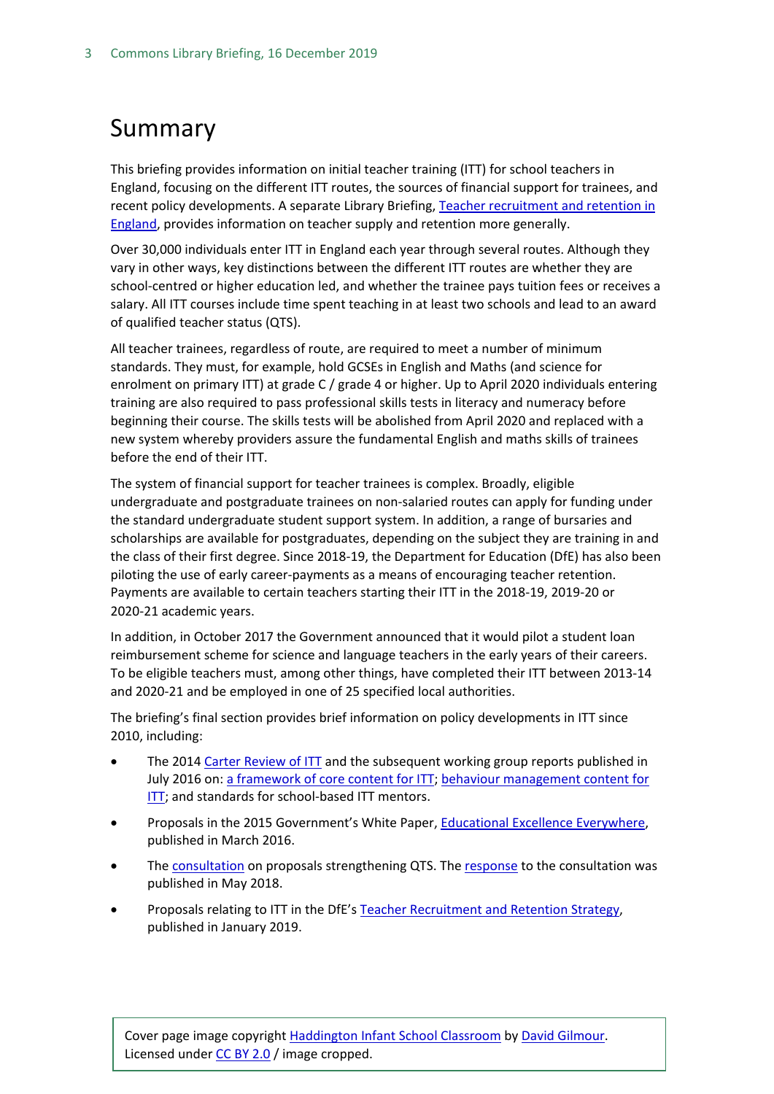## <span id="page-2-0"></span>Summary

This briefing provides information on initial teacher training (ITT) for school teachers in England, focusing on the different ITT routes, the sources of financial support for trainees, and recent policy developments. A separate Library Briefing, Teacher recruitment and retention in [England,](http://researchbriefings.parliament.uk/ResearchBriefing/Summary/CBP-7222) provides information on teacher supply and retention more generally.

Over 30,000 individuals enter ITT in England each year through several routes. Although they vary in other ways, key distinctions between the different ITT routes are whether they are school-centred or higher education led, and whether the trainee pays tuition fees or receives a salary. All ITT courses include time spent teaching in at least two schools and lead to an award of qualified teacher status (QTS).

All teacher trainees, regardless of route, are required to meet a number of minimum standards. They must, for example, hold GCSEs in English and Maths (and science for enrolment on primary ITT) at grade C / grade 4 or higher. Up to April 2020 individuals entering training are also required to pass professional skills tests in literacy and numeracy before beginning their course. The skills tests will be abolished from April 2020 and replaced with a new system whereby providers assure the fundamental English and maths skills of trainees before the end of their ITT.

The system of financial support for teacher trainees is complex. Broadly, eligible undergraduate and postgraduate trainees on non-salaried routes can apply for funding under the standard undergraduate student support system. In addition, a range of bursaries and scholarships are available for postgraduates, depending on the subject they are training in and the class of their first degree. Since 2018-19, the Department for Education (DfE) has also been piloting the use of early career-payments as a means of encouraging teacher retention. Payments are available to certain teachers starting their ITT in the 2018-19, 2019-20 or 2020-21 academic years.

In addition, in October 2017 the Government announced that it would pilot a student loan reimbursement scheme for science and language teachers in the early years of their careers. To be eligible teachers must, among other things, have completed their ITT between 2013-14 and 2020-21 and be employed in one of 25 specified local authorities.

The briefing's final section provides brief information on policy developments in ITT since 2010, including:

- The 2014 [Carter Review of ITT](https://www.gov.uk/government/uploads/system/uploads/attachment_data/file/346051/Consultation_Document_-_Carter_Review_Final.pdf) and the subsequent working group reports published in July 2016 on: [a framework of core content for ITT;](https://www.gov.uk/government/uploads/system/uploads/attachment_data/file/536890/Framework_Report_11_July_2016_Final.pdf) [behaviour management content for](https://www.gov.uk/government/uploads/system/uploads/attachment_data/file/536889/Behaviour_Management_report_final__11_July_2016.pdf)  [ITT;](https://www.gov.uk/government/uploads/system/uploads/attachment_data/file/536889/Behaviour_Management_report_final__11_July_2016.pdf) and standards for school-based ITT mentors.
- Proposals in the 2015 Government's White Paper, [Educational Excellence Everywhere,](https://www.gov.uk/government/publications/educational-excellence-everywhere) published in March 2016.
- Th[e consultation](https://consult.education.gov.uk/teaching-profession-unit/strengthening-qts-and-improving-career-progression/supporting_documents/Strengthening%20Qualified%20Teacher%20Status%20and%20improving%20career%20progression%20for%20teachers%20consultation.pdf) on proposals strengthening QTS. Th[e response](https://assets.publishing.service.gov.uk/government/uploads/system/uploads/attachment_data/file/704942/Government_consultation_response_-_QTS_and_career_progression.pdf) to the consultation was published in May 2018.
- Proposals relating to ITT in the DfE's [Teacher Recruitment and Retention Strategy,](https://www.gov.uk/government/publications/teacher-recruitment-and-retention-strategy) published in January 2019.

Cover page image copyright [Haddington Infant School Classroom](https://www.flickr.com/photos/davidgilmour/8054768528/in/photolist-dgLN4s-rBJGQH-9DZPr-peS62u-boo4u7-rjgtWT-fHMRX8-bjpnAB-atjKHJ-dRj66Y-r2Bjv6-qK2ymQ-qZjbr7-q5AN79-r2wvN3-r2shwR-qK3RNy-qK3Q6L-q5Ptc8-qZjbSC-5wrEiv-7mQDFx-boBf7J-bBhY2V-4dJPyP-gjyq6i-bjGaiE-8VyCkT-5Urxsu-nnFoWi-4euk4W-bPCCM2-9R9qqY-f8r8er-PMpHi-bAJabh-9KMedm-artMsp-ocZRbi-9WBF8y-rAHmp6-bPCChR-rABNMW-bPCMdZ-qDHNs7-bAJ89w-3uwTYS-boBf6C-oudcsc-3uwNCy) by [David Gilmour.](https://www.flickr.com/photos/davidgilmour/) Licensed under [CC BY 2.0](https://creativecommons.org/licenses/by-nc-sa/2.0/) / image cropped.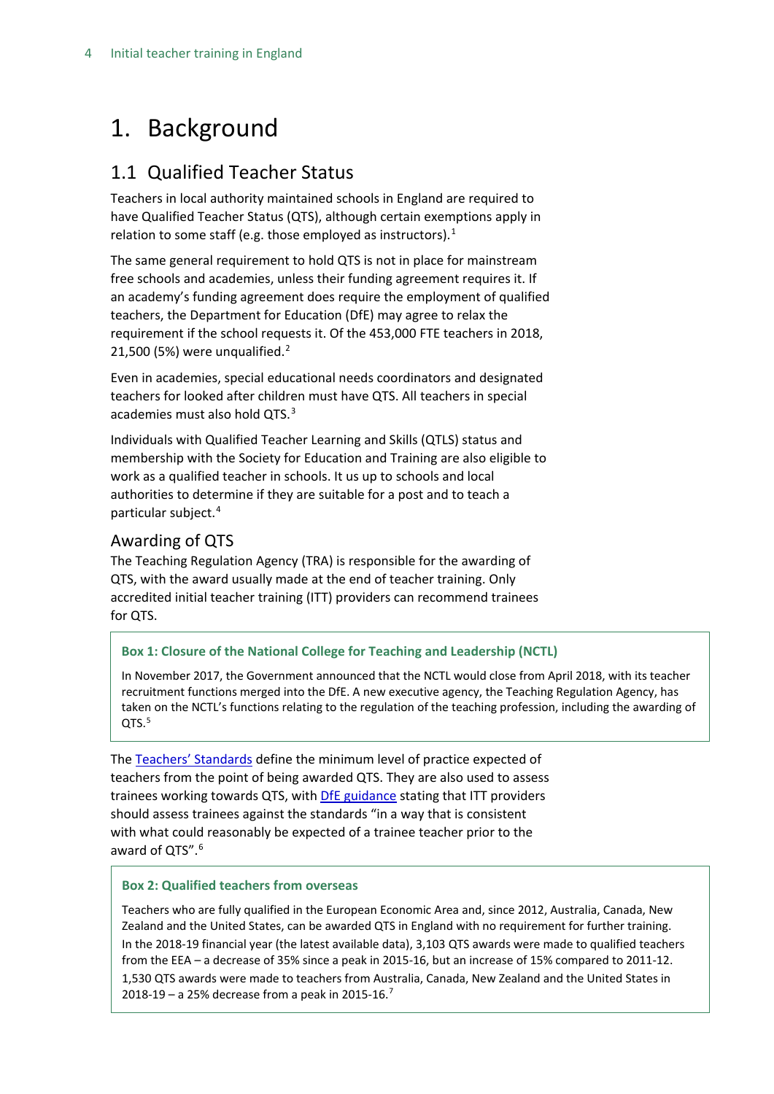## <span id="page-3-0"></span>1. Background

## <span id="page-3-1"></span>1.1 Qualified Teacher Status

Teachers in local authority maintained schools in England are required to have Qualified Teacher Status (QTS), although certain exemptions apply in relation to some staff (e.g. those employed as instructors).<sup>[1](#page-3-2)</sup>

The same general requirement to hold QTS is not in place for mainstream free schools and academies, unless their funding agreement requires it. If an academy's funding agreement does require the employment of qualified teachers, the Department for Education (DfE) may agree to relax the requirement if the school requests it. Of the 453,000 FTE teachers in 2018, [2](#page-3-3)1,500 (5%) were unqualified. $2$ 

Even in academies, special educational needs coordinators and designated teachers for looked after children must have QTS. All teachers in special academies must also hold QTS.<sup>[3](#page-3-4)</sup>

Individuals with Qualified Teacher Learning and Skills (QTLS) status and membership with the Society for Education and Training are also eligible to work as a qualified teacher in schools. It us up to schools and local authorities to determine if they are suitable for a post and to teach a particular subject.[4](#page-3-5)

## Awarding of QTS

The Teaching Regulation Agency (TRA) is responsible for the awarding of QTS, with the award usually made at the end of teacher training. Only accredited initial teacher training (ITT) providers can recommend trainees for QTS.

#### **Box 1: Closure of the National College for Teaching and Leadership (NCTL)**

In November 2017, the Government announced that the NCTL would close from April 2018, with its teacher recruitment functions merged into the DfE. A new executive agency, the Teaching Regulation Agency, has taken on the NCTL's functions relating to the regulation of the teaching profession, including the awarding of QTS.<sup>[5](#page-3-6)</sup>

<span id="page-3-3"></span><span id="page-3-2"></span>The [Teachers' Standards](https://www.gov.uk/government/publications/teachers-standards) define the minimum level of practice expected of teachers from the point of being awarded QTS. They are also used to assess trainees working towards QTS, with DfE [guidance](https://www.gov.uk/government/publications/teachers-standards) stating that ITT providers should assess trainees against the standards "in a way that is consistent with what could reasonably be expected of a trainee teacher prior to the award of OTS".<sup>[6](#page-3-7)</sup>

#### <span id="page-3-5"></span><span id="page-3-4"></span>**Box 2: Qualified teachers from overseas**

<span id="page-3-8"></span><span id="page-3-7"></span><span id="page-3-6"></span>Teachers who are fully qualified in the European Economic Area and, since 2012, Australia, Canada, New Zealand and the United States, can be awarded QTS in England with no requirement for further training. In the 2018-19 financial year (the latest available data), 3,103 QTS awards were made to qualified teachers from the EEA – a decrease of 35% since a peak in 2015-16, but an increase of 15% compared to 2011-12. 1,530 QTS awards were made to teachers from Australia, Canada, New Zealand and the United States in 2018-19 – a 25% decrease from a peak in 2015-16[.7](#page-3-8)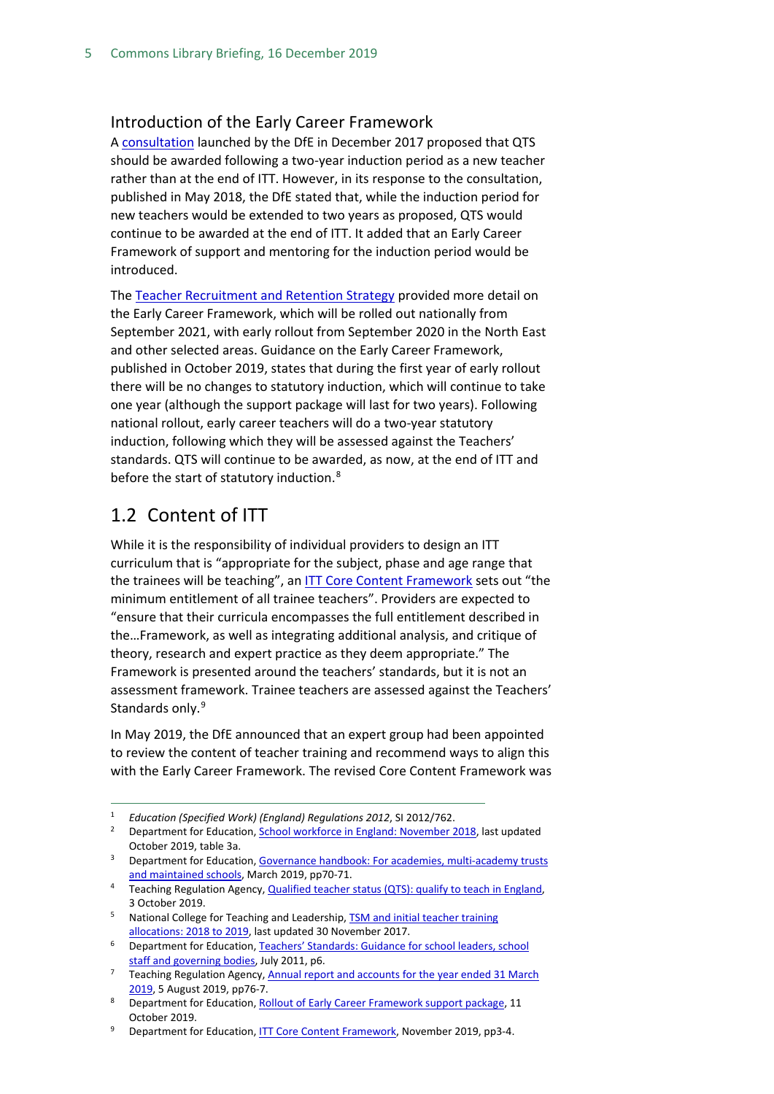#### <span id="page-4-0"></span>Introduction of the Early Career Framework

A [consultation](https://consult.education.gov.uk/teaching-profession-unit/strengthening-qts-and-improving-career-progression/supporting_documents/Strengthening%20Qualified%20Teacher%20Status%20and%20improving%20career%20progression%20for%20teachers%20consultation.pdf) launched by the DfE in December 2017 proposed that QTS should be awarded following a two-year induction period as a new teacher rather than at the end of ITT. However, in its response to the consultation, published in May 2018, the DfE stated that, while the induction period for new teachers would be extended to two years as proposed, QTS would continue to be awarded at the end of ITT. It added that an Early Career Framework of support and mentoring for the induction period would be introduced.

The [Teacher Recruitment and Retention Strategy](https://assets.publishing.service.gov.uk/government/uploads/system/uploads/attachment_data/file/773930/Teacher_Retention_Strategy_Report.PDF.pdf) provided more detail on the Early Career Framework, which will be rolled out nationally from September 2021, with early rollout from September 2020 in the North East and other selected areas. Guidance on the Early Career Framework, published in October 2019, states that during the first year of early rollout there will be no changes to statutory induction, which will continue to take one year (although the support package will last for two years). Following national rollout, early career teachers will do a two-year statutory induction, following which they will be assessed against the Teachers' standards. QTS will continue to be awarded, as now, at the end of ITT and before the start of statutory induction.<sup>[8](#page-4-2)</sup>

### <span id="page-4-1"></span>1.2 Content of ITT

While it is the responsibility of individual providers to design an ITT curriculum that is "appropriate for the subject, phase and age range that the trainees will be teaching", a[n ITT Core Content Framework](https://www.gov.uk/government/publications/initial-teacher-training-itt-core-content-framework) sets out "the minimum entitlement of all trainee teachers". Providers are expected to "ensure that their curricula encompasses the full entitlement described in the…Framework, as well as integrating additional analysis, and critique of theory, research and expert practice as they deem appropriate." The Framework is presented around the teachers' standards, but it is not an assessment framework. Trainee teachers are assessed against the Teachers' Standards only.<sup>[9](#page-4-3)</sup>

In May 2019, the DfE announced that an expert group had been appointed to review the content of teacher training and recommend ways to align this with the Early Career Framework. The revised Core Content Framework was

- <sup>4</sup> Teaching Regulation Agency[, Qualified teacher status \(QTS\): qualify to teach in England,](https://www.gov.uk/guidance/qualified-teacher-status-qts#qualified-teacher-learning-and-skills-qtls) 3 October 2019.
- <sup>5</sup> National College for Teaching and Leadership, **TSM and initial teacher training** [allocations: 2018 to 2019,](https://www.gov.uk/government/statistics/tsm-and-initial-teacher-training-allocations-2018-to-2019) last updated 30 November 2017.
- <sup>6</sup> Department for Education[, Teachers' Standards: Guidance for school leaders, school](https://www.gov.uk/government/uploads/system/uploads/attachment_data/file/301107/Teachers__Standards.pdf)  [staff and governing bodies,](https://www.gov.uk/government/uploads/system/uploads/attachment_data/file/301107/Teachers__Standards.pdf) July 2011, p6.
- <sup>7</sup> Teaching Regulation Agency, Annual report and accounts for the year ended 31 March [2019,](https://www.gov.uk/government/publications/teaching-regulation-agency-annual-report-and-accounts-2018-to-2019) 5 August 2019, pp76-7.
- <span id="page-4-2"></span>8 Department for Education[, Rollout of Early Career Framework support package,](https://www.gov.uk/government/publications/supporting-early-career-teachers/rollout-of-early-career-framework-support-package) 11 October 2019.

 <sup>1</sup> *Education (Specified Work) (England) Regulations 2012*, SI 2012/762.

<sup>&</sup>lt;sup>2</sup> Department for Education[, School workforce in England: November 2018,](https://www.gov.uk/government/statistics/school-workforce-in-england-november-2018) last updated October 2019, table 3a.

<sup>&</sup>lt;sup>3</sup> Department for Education, Governance handbook: For academies, multi-academy trusts [and maintained schools,](https://assets.publishing.service.gov.uk/government/uploads/system/uploads/attachment_data/file/788234/governance_handbook_2019.pdf) March 2019, pp70-71.

<span id="page-4-3"></span><sup>9</sup> Department for Education[, ITT Core Content Framework,](https://www.gov.uk/government/publications/initial-teacher-training-itt-core-content-framework) November 2019, pp3-4.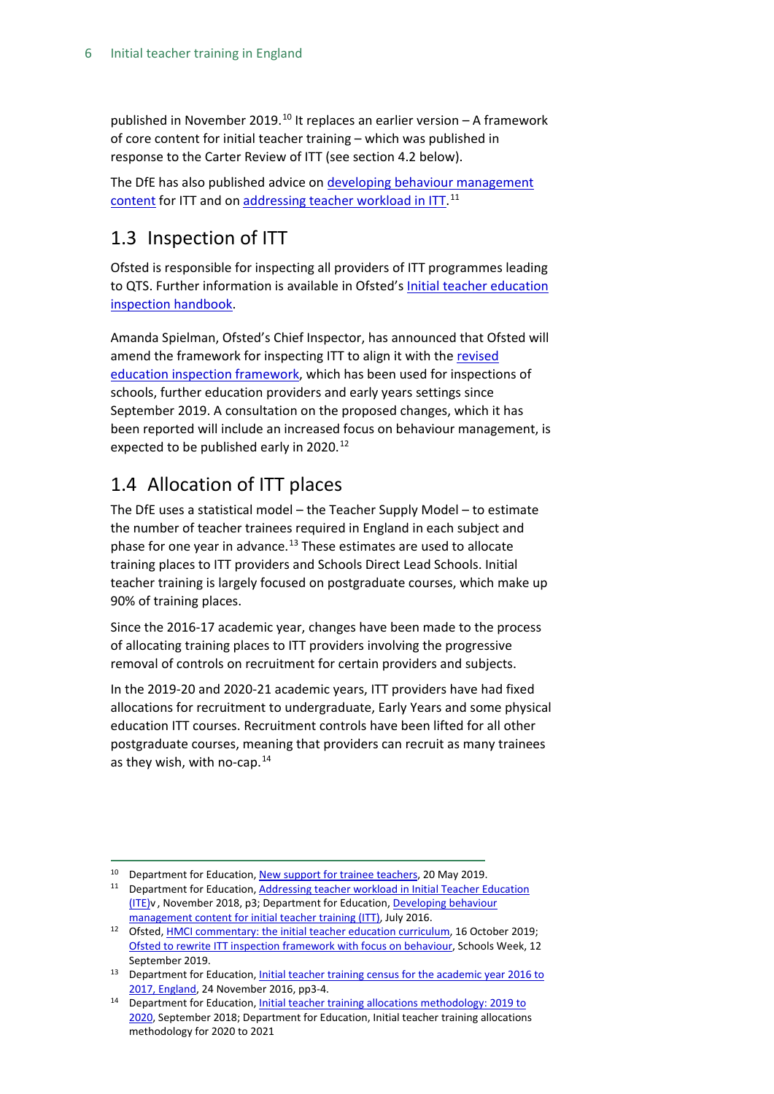published in November 2019.<sup>[10](#page-5-2)</sup> It replaces an earlier version  $-$  A framework of core content for initial teacher training – which was published in response to the Carter Review of ITT (see section 4.2 below).

The DfE has also published advice on [developing behaviour management](https://assets.publishing.service.gov.uk/government/uploads/system/uploads/attachment_data/file/536889/Behaviour_Management_report_final__11_July_2016.pdf)  [content](https://assets.publishing.service.gov.uk/government/uploads/system/uploads/attachment_data/file/536889/Behaviour_Management_report_final__11_July_2016.pdf) for ITT and on [addressing teacher workload in ITT.](https://assets.publishing.service.gov.uk/government/uploads/system/uploads/attachment_data/file/753502/Addressing_Workload_in_ITE.pdf)<sup>[11](#page-5-3)</sup>

## <span id="page-5-0"></span>1.3 Inspection of ITT

Ofsted is responsible for inspecting all providers of ITT programmes leading to QTS. Further information is available in Ofsted's [Initial teacher education](https://www.gov.uk/government/publications/initial-teacher-education-inspection-handbook)  [inspection handbook.](https://www.gov.uk/government/publications/initial-teacher-education-inspection-handbook)

Amanda Spielman, Ofsted's Chief Inspector, has announced that Ofsted will amend the framework for inspecting ITT to align it with the [revised](https://www.gov.uk/government/collections/education-inspection-framework)  [education inspection framework,](https://www.gov.uk/government/collections/education-inspection-framework) which has been used for inspections of schools, further education providers and early years settings since September 2019. A consultation on the proposed changes, which it has been reported will include an increased focus on behaviour management, is expected to be published early in 2020.<sup>[12](#page-5-4)</sup>

## <span id="page-5-1"></span>1.4 Allocation of ITT places

The DfE uses a statistical model – the Teacher Supply Model – to estimate the number of teacher trainees required in England in each subject and phase for one year in advance.<sup>[13](#page-5-5)</sup> These estimates are used to allocate training places to ITT providers and Schools Direct Lead Schools. Initial teacher training is largely focused on postgraduate courses, which make up 90% of training places.

Since the 2016-17 academic year, changes have been made to the process of allocating training places to ITT providers involving the progressive removal of controls on recruitment for certain providers and subjects.

In the 2019-20 and 2020-21 academic years, ITT providers have had fixed allocations for recruitment to undergraduate, Early Years and some physical education ITT courses. Recruitment controls have been lifted for all other postgraduate courses, meaning that providers can recruit as many trainees as they wish, with no-cap.[14](#page-5-6)

<span id="page-5-2"></span><sup>&</sup>lt;sup>10</sup> Department for Education[, New support for trainee teachers,](https://www.gov.uk/government/news/new-support-for-trainee-teachers) 20 May 2019.

<span id="page-5-3"></span><sup>&</sup>lt;sup>11</sup> Department for Education, Addressing teacher workload in Initial Teacher Education [\(ITE\)v](https://assets.publishing.service.gov.uk/government/uploads/system/uploads/attachment_data/file/753502/Addressing_Workload_in_ITE.pdf) , November 2018, p3; Department for Education[, Developing behaviour](https://assets.publishing.service.gov.uk/government/uploads/system/uploads/attachment_data/file/536889/Behaviour_Management_report_final__11_July_2016.pdf)  [management content for initial teacher training \(ITT\),](https://assets.publishing.service.gov.uk/government/uploads/system/uploads/attachment_data/file/536889/Behaviour_Management_report_final__11_July_2016.pdf) July 2016.

<span id="page-5-4"></span><sup>12</sup> Ofsted, <u>HMCI commentary: the initial teacher education curriculum</u>, 16 October 2019; [Ofsted to rewrite ITT inspection framework with focus on behaviour,](https://schoolsweek.co.uk/ofsted-to-rewrite-initial-teacher-training-inspection-framework-with-focus-on-behaviour/) Schools Week, 12 September 2019.

<span id="page-5-5"></span><sup>&</sup>lt;sup>13</sup> Department for Education, Initial teacher training census for the academic year 2016 to [2017, England,](https://www.gov.uk/government/statistics/initial-teacher-training-trainee-number-census-2016-to-2017) 24 November 2016, pp3-4.

<span id="page-5-6"></span><sup>14</sup> Department for Education[, Initial teacher training allocations methodology: 2019 to](https://www.gov.uk/government/publications/initial-teacher-training-itt-requesting-places-2019-to-2020)  [2020,](https://www.gov.uk/government/publications/initial-teacher-training-itt-requesting-places-2019-to-2020) September 2018; Department for Education, Initial teacher training allocations methodology for 2020 to 2021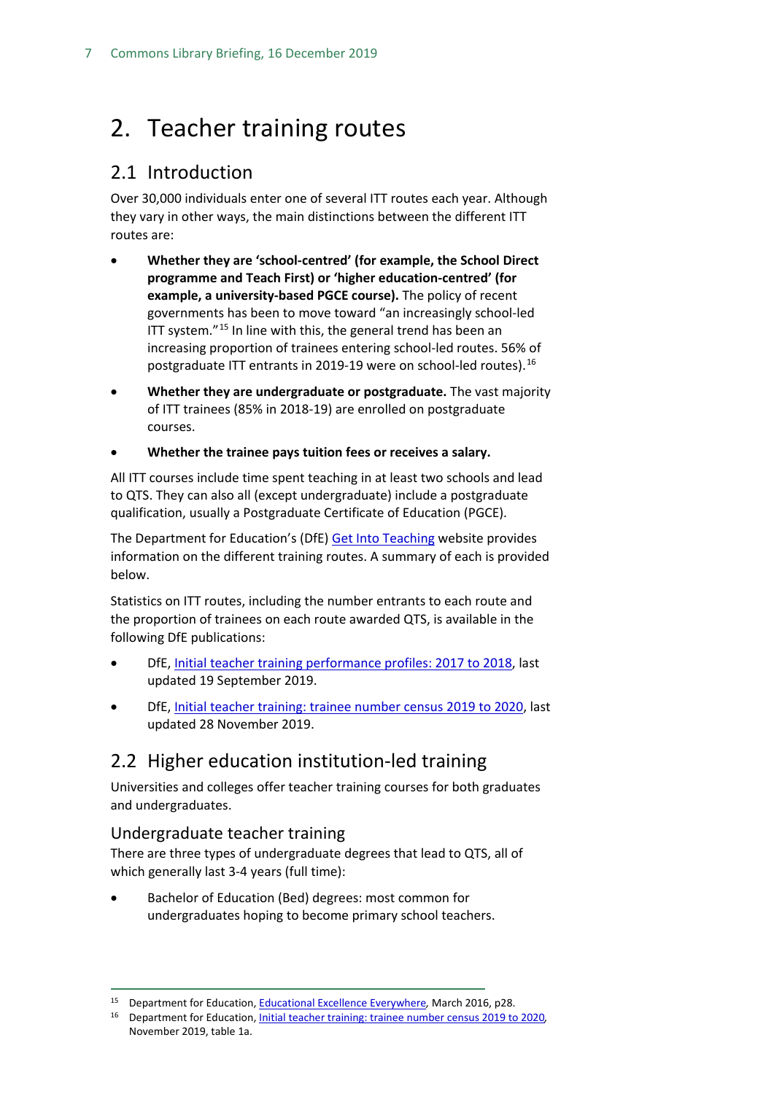## <span id="page-6-0"></span>2. Teacher training routes

## <span id="page-6-1"></span>2.1 Introduction

Over 30,000 individuals enter one of several ITT routes each year. Although they vary in other ways, the main distinctions between the different ITT routes are:

- **Whether they are 'school-centred' (for example, the School Direct programme and Teach First) or 'higher education-centred' (for example, a university-based PGCE course).** The policy of recent governments has been to move toward "an increasingly school-led ITT system."<sup>[15](#page-6-4)</sup> In line with this, the general trend has been an increasing proportion of trainees entering school-led routes. 56% of postgraduate ITT entrants in 2019-19 were on school-led routes).[16](#page-6-5)
- **Whether they are undergraduate or postgraduate.** The vast majority of ITT trainees (85% in 2018-19) are enrolled on postgraduate courses.
- **Whether the trainee pays tuition fees or receives a salary.**

All ITT courses include time spent teaching in at least two schools and lead to QTS. They can also all (except undergraduate) include a postgraduate qualification, usually a Postgraduate Certificate of Education (PGCE).

The Department for Education's (DfE) [Get Into Teaching](https://getintoteaching.education.gov.uk/) website provides information on the different training routes. A summary of each is provided below.

Statistics on ITT routes, including the number entrants to each route and the proportion of trainees on each route awarded QTS, is available in the following DfE publications:

- DfE, [Initial teacher training performance profiles: 2017 to 2018,](https://www.gov.uk/government/statistics/initial-teacher-training-performance-profiles-2017-to-2018) last updated 19 September 2019.
- DfE, [Initial teacher training: trainee number census 2019 to 2020,](https://www.gov.uk/government/statistics/initial-teacher-training-trainee-number-census-2019-to-2020) last updated 28 November 2019.

## <span id="page-6-2"></span>2.2 Higher education institution-led training

Universities and colleges offer teacher training courses for both graduates and undergraduates.

### <span id="page-6-3"></span>Undergraduate teacher training

There are three types of undergraduate degrees that lead to QTS, all of which generally last 3-4 years (full time):

• Bachelor of Education (Bed) degrees: most common for undergraduates hoping to become primary school teachers.

 <sup>15</sup> Department for Education[, Educational Excellence Everywhere](https://www.gov.uk/government/publications/educational-excellence-everywhere)*,* March 2016, p28.

<span id="page-6-5"></span><span id="page-6-4"></span><sup>16</sup> Department for Education[, Initial teacher training: trainee number census 2019 to 2020](https://www.gov.uk/government/statistics/initial-teacher-training-trainee-number-census-2019-to-2020https:/www.gov.uk/government/statistics/initial-teacher-training-trainee-number-census-2019-to-2020)*,*  November 2019, table 1a.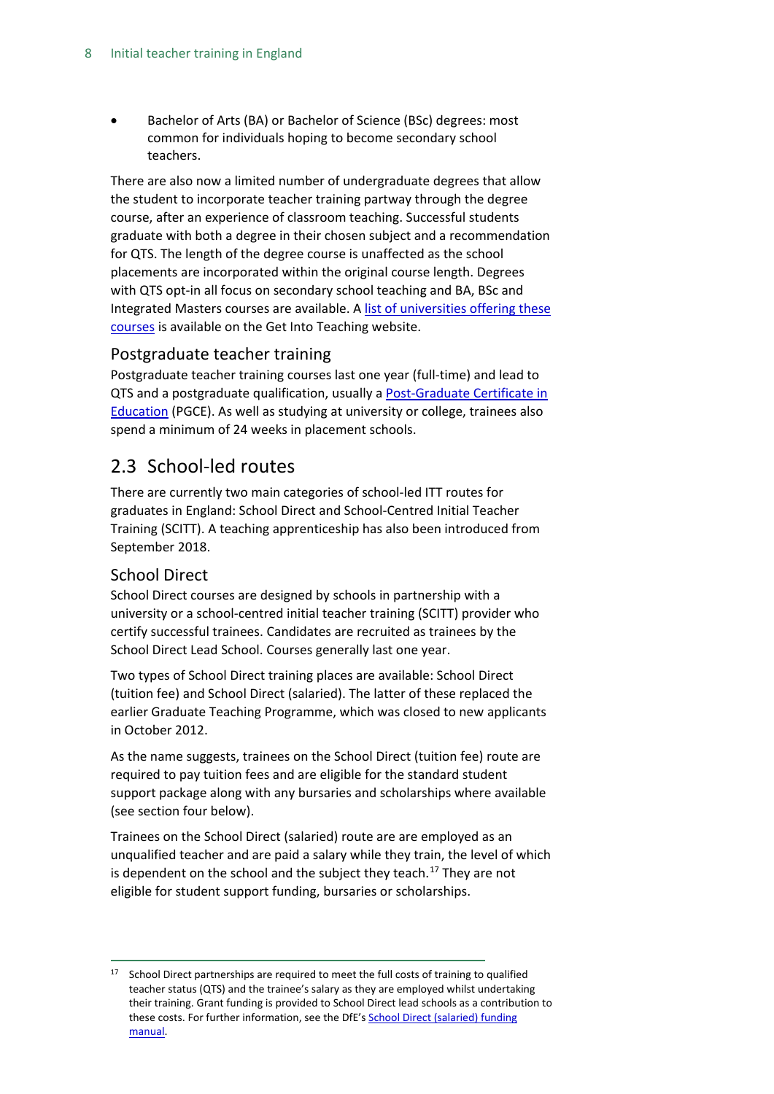• Bachelor of Arts (BA) or Bachelor of Science (BSc) degrees: most common for individuals hoping to become secondary school teachers.

There are also now a limited number of undergraduate degrees that allow the student to incorporate teacher training partway through the degree course, after an experience of classroom teaching. Successful students graduate with both a degree in their chosen subject and a recommendation for QTS. The length of the degree course is unaffected as the school placements are incorporated within the original course length. Degrees with QTS opt-in all focus on secondary school teaching and BA, BSc and Integrated Masters courses are available. [A list of universities offering these](https://getintoteaching.education.gov.uk/explore-my-options/teacher-training-routes/university-led-training/university-led-undergraduate-training/degrees-with-opt-in-qts)  [courses](https://getintoteaching.education.gov.uk/explore-my-options/teacher-training-routes/university-led-training/university-led-undergraduate-training/degrees-with-opt-in-qts) is available on the Get Into Teaching website.

#### <span id="page-7-0"></span>Postgraduate teacher training

Postgraduate teacher training courses last one year (full-time) and lead to QTS and a postgraduate qualification, usually a [Post-Graduate Certificate in](https://getintoteaching.education.gov.uk/explore-my-options/teacher-training-routes/pgce)  [Education](https://getintoteaching.education.gov.uk/explore-my-options/teacher-training-routes/pgce) (PGCE). As well as studying at university or college, trainees also spend a minimum of 24 weeks in placement schools.

## <span id="page-7-1"></span>2.3 School-led routes

There are currently two main categories of school-led ITT routes for graduates in England: School Direct and School-Centred Initial Teacher Training (SCITT). A teaching apprenticeship has also been introduced from September 2018.

### <span id="page-7-2"></span>School Direct

School Direct courses are designed by schools in partnership with a university or a school-centred initial teacher training (SCITT) provider who certify successful trainees. Candidates are recruited as trainees by the School Direct Lead School. Courses generally last one year.

Two types of School Direct training places are available: School Direct (tuition fee) and School Direct (salaried). The latter of these replaced the earlier Graduate Teaching Programme, which was closed to new applicants in October 2012.

As the name suggests, trainees on the School Direct (tuition fee) route are required to pay tuition fees and are eligible for the standard student support package along with any bursaries and scholarships where available (see section four below).

Trainees on the School Direct (salaried) route are are employed as an unqualified teacher and are paid a salary while they train, the level of which is dependent on the school and the subject they teach.<sup>[17](#page-7-3)</sup> They are not eligible for student support funding, bursaries or scholarships.

<span id="page-7-3"></span> $17$  School Direct partnerships are required to meet the full costs of training to qualified teacher status (QTS) and the trainee's salary as they are employed whilst undertaking their training. Grant funding is provided to School Direct lead schools as a contribution to these costs. For further information, see the DfE'[s School Direct \(salaried\) funding](https://www.gov.uk/government/publications/school-direct-salaried-funding-manual/school-direct-salaried-funding-manual-2019-to-2020-academic-year#trainee-eligibility-criteria)  [manual.](https://www.gov.uk/government/publications/school-direct-salaried-funding-manual/school-direct-salaried-funding-manual-2019-to-2020-academic-year#trainee-eligibility-criteria)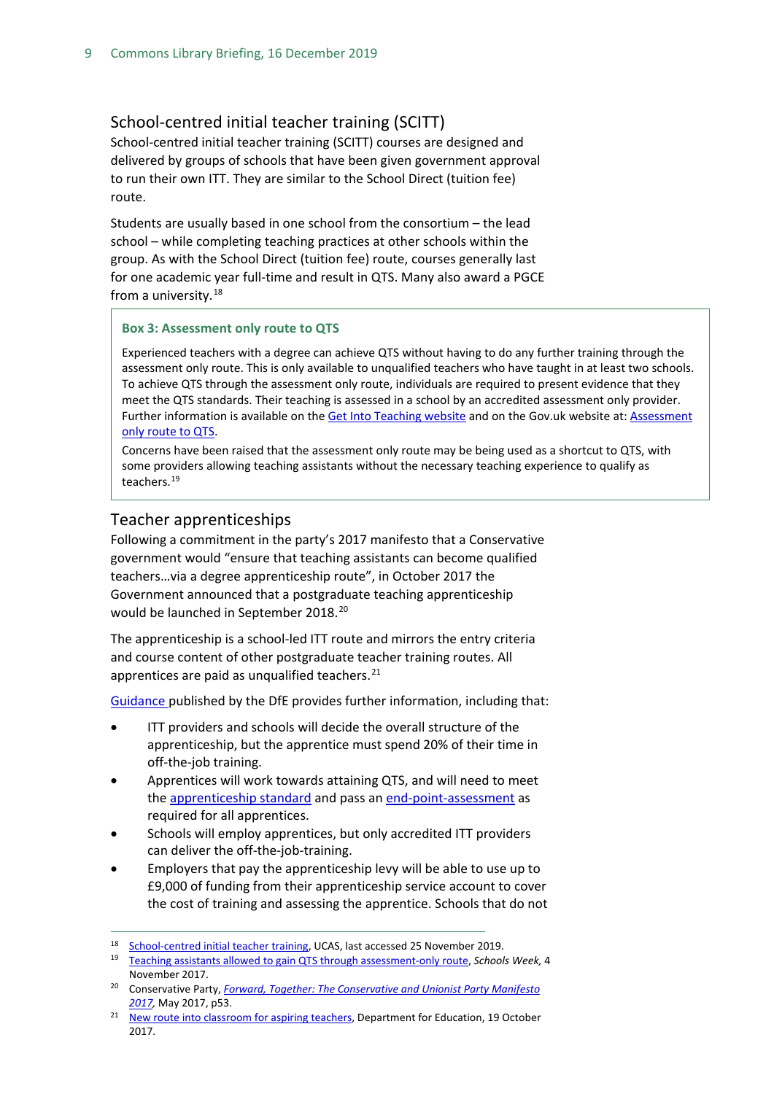#### <span id="page-8-0"></span>School-centred initial teacher training (SCITT)

School-centred initial teacher training (SCITT) courses are designed and delivered by groups of schools that have been given government approval to run their own ITT. They are similar to the School Direct (tuition fee) route.

Students are usually based in one school from the consortium – the lead school – while completing teaching practices at other schools within the group. As with the School Direct (tuition fee) route, courses generally last for one academic year full-time and result in QTS. Many also award a PGCE from a university.<sup>[18](#page-8-2)</sup>

#### **Box 3: Assessment only route to QTS**

Experienced teachers with a degree can achieve QTS without having to do any further training through the assessment only route. This is only available to unqualified teachers who have taught in at least two schools. To achieve QTS through the assessment only route, individuals are required to present evidence that they meet the QTS standards. Their teaching is assessed in a school by an accredited assessment only provider. Further information is available on th[e Get Into Teaching website](https://getintoteaching.education.gov.uk/explore-my-options/teacher-training-routes/specialist-training-options/assessment-only) and on the Gov.uk website at: [Assessment](https://www.gov.uk/government/publications/the-assessment-only-route-to-qts)  [only route to QTS.](https://www.gov.uk/government/publications/the-assessment-only-route-to-qts)

Concerns have been raised that the assessment only route may be being used as a shortcut to QTS, with some providers allowing teaching assistants without the necessary teaching experience to qualify as teachers.[19](#page-8-5)

#### <span id="page-8-1"></span>Teacher apprenticeships

Following a commitment in the party's 2017 manifesto that a Conservative government would "ensure that teaching assistants can become qualified teachers…via a degree apprenticeship route", in October 2017 the Government announced that a postgraduate teaching apprenticeship would be launched in September [20](#page-8-3)18.<sup>20</sup>

The apprenticeship is a school-led ITT route and mirrors the entry criteria and course content of other postgraduate teacher training routes. All apprentices are paid as unqualified teachers. $^{21}$  $^{21}$  $^{21}$ 

[Guidance p](https://www.gov.uk/guidance/postgraduate-teaching-apprenticeships-guidance-for-providers)ublished by the DfE provides further information, including that:

- ITT providers and schools will decide the overall structure of the apprenticeship, but the apprentice must spend 20% of their time in off-the-job training.
- Apprentices will work towards attaining QTS, and will need to meet the [apprenticeship standard](https://www.gov.uk/government/publications/apprenticeship-standard-teacher-approved-for-delivery) and pass an [end-point-assessment](file://hpap03f/DIS/Shares/Publications/Standard%20Notes/Final%20-%20SPS/v) as required for all apprentices.
- Schools will employ apprentices, but only accredited ITT providers can deliver the off-the-job-training.
- Employers that pay the apprenticeship levy will be able to use up to £9,000 of funding from their apprenticeship service account to cover the cost of training and assessing the apprentice. Schools that do not

<span id="page-8-2"></span><sup>18</sup> [School-centred initial teacher training,](https://www.ucas.com/teaching-option/school-centred-initial-teacher-training-scitt) UCAS, last accessed 25 November 2019.

<span id="page-8-5"></span><sup>19</sup> [Teaching assistants allowed to gain QTS through assessment-only route,](https://schoolsweek.co.uk/teaching-assistants-allowed-to-gain-qts-through-assessment-only-route/) *Schools Week,* 4 November 2017.

<span id="page-8-3"></span><sup>20</sup> Conservative Party, *[Forward, Together: The Conservative and Unionist Party Manifesto](https://s3.eu-west-2.amazonaws.com/manifesto2017/Manifesto2017.pdf)  [2017,](https://s3.eu-west-2.amazonaws.com/manifesto2017/Manifesto2017.pdf)* May 2017, p53.

<span id="page-8-4"></span><sup>&</sup>lt;sup>21</sup> [New route into classroom for aspiring teachers,](https://www.gov.uk/government/news/new-route-into-classroom-for-aspiring-teachers) Department for Education, 19 October 2017.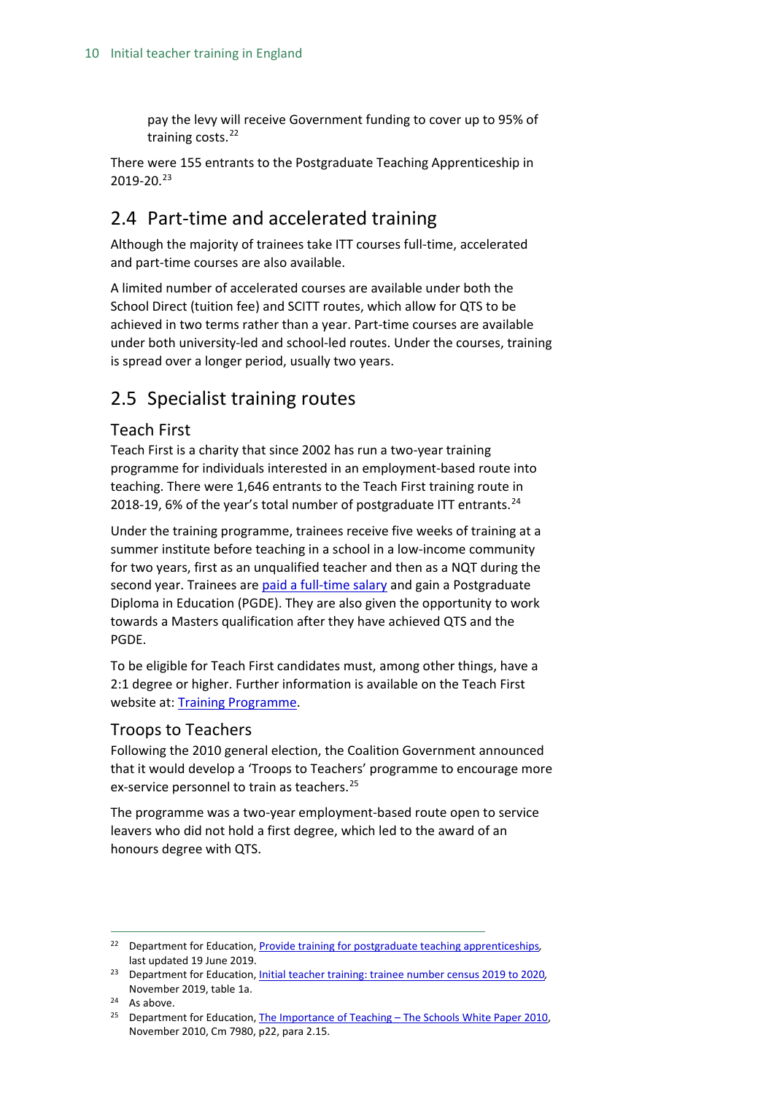pay the levy will receive Government funding to cover up to 95% of training costs.<sup>[22](#page-9-4)</sup>

There were 155 entrants to the Postgraduate Teaching Apprenticeship in 2019-20. [23](#page-9-5)

## <span id="page-9-0"></span>2.4 Part-time and accelerated training

Although the majority of trainees take ITT courses full-time, accelerated and part-time courses are also available.

A limited number of accelerated courses are available under both the School Direct (tuition fee) and SCITT routes, which allow for QTS to be achieved in two terms rather than a year. Part-time courses are available under both university-led and school-led routes. Under the courses, training is spread over a longer period, usually two years.

## <span id="page-9-1"></span>2.5 Specialist training routes

### <span id="page-9-2"></span>Teach First

Teach First is a charity that since 2002 has run a two-year training programme for individuals interested in an employment-based route into teaching. There were 1,646 entrants to the Teach First training route in 2018-19, 6% of the year's total number of postgraduate ITT entrants. $^{24}$  $^{24}$  $^{24}$ 

Under the training programme, trainees receive five weeks of training at a summer institute before teaching in a school in a low-income community for two years, first as an unqualified teacher and then as a NQT during the second year. Trainees ar[e paid a full-time salary](http://graduates.teachfirst.org.uk/leadership-development-programme/salary-benefits) and gain a Postgraduate Diploma in Education (PGDE). They are also given the opportunity to work towards a Masters qualification after they have achieved QTS and the PGDE.

To be eligible for Teach First candidates must, among other things, have a 2:1 degree or higher. Further information is available on the Teach First website at: [Training Programme.](https://www.teachfirst.org.uk/training-programme)

#### <span id="page-9-3"></span>Troops to Teachers

Following the 2010 general election, the Coalition Government announced that it would develop a 'Troops to Teachers' programme to encourage more ex-service personnel to train as teachers.<sup>[25](#page-9-7)</sup>

The programme was a two-year employment-based route open to service leavers who did not hold a first degree, which led to the award of an honours degree with QTS.

<span id="page-9-4"></span> <sup>22</sup> Department for Education[, Provide training for postgraduate teaching apprenticeships](https://www.gov.uk/guidance/provide-training-for-postgraduate-teaching-apprenticeships#funding)*,*  last updated 19 June 2019.

<span id="page-9-5"></span><sup>23</sup> Department for Education[, Initial teacher training: trainee number census 2019 to 2020](https://www.gov.uk/government/statistics/initial-teacher-training-trainee-number-census-2019-to-2020https:/www.gov.uk/government/statistics/initial-teacher-training-trainee-number-census-2019-to-2020)*,*  November 2019, table 1a.

<span id="page-9-6"></span><sup>24</sup> As above.

<span id="page-9-7"></span><sup>&</sup>lt;sup>25</sup> Department for Education, The Importance of Teaching – The Schools White Paper 2010, November 2010, Cm 7980, p22, para 2.15.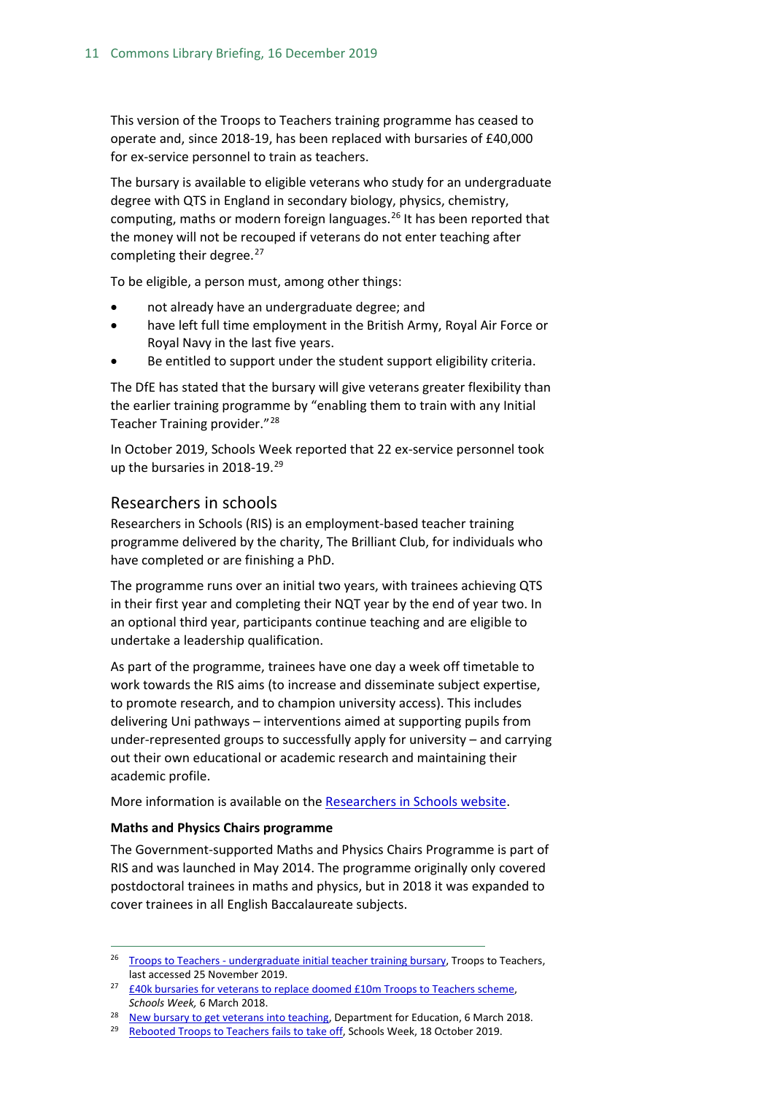This version of the Troops to Teachers training programme has ceased to operate and, since 2018-19, has been replaced with bursaries of £40,000 for ex-service personnel to train as teachers.

The bursary is available to eligible veterans who study for an undergraduate degree with QTS in England in secondary biology, physics, chemistry, computing, maths or modern foreign languages. [26](#page-10-1) It has been reported that the money will not be recouped if veterans do not enter teaching after completing their degree.<sup>[27](#page-10-2)</sup>

To be eligible, a person must, among other things:

- not already have an undergraduate degree; and
- have left full time employment in the British Army, Royal Air Force or Royal Navy in the last five years.
- Be entitled to support under the student support eligibility criteria.

The DfE has stated that the bursary will give veterans greater flexibility than the earlier training programme by "enabling them to train with any Initial Teacher Training provider."[28](#page-10-3)

In October 2019, Schools Week reported that 22 ex-service personnel took up the bursaries in 2018-19.<sup>[29](#page-10-4)</sup>

#### <span id="page-10-0"></span>Researchers in schools

Researchers in Schools (RIS) is an employment-based teacher training programme delivered by the charity, The Brilliant Club, for individuals who have completed or are finishing a PhD.

The programme runs over an initial two years, with trainees achieving QTS in their first year and completing their NQT year by the end of year two. In an optional third year, participants continue teaching and are eligible to undertake a leadership qualification.

As part of the programme, trainees have one day a week off timetable to work towards the RIS aims (to increase and disseminate subject expertise, to promote research, and to champion university access). This includes delivering Uni pathways – interventions aimed at supporting pupils from under-represented groups to successfully apply for university – and carrying out their own educational or academic research and maintaining their academic profile.

More information is available on the [Researchers in Schools website.](http://www.researchersinschools.org/our-work/programme-overview/)

#### **Maths and Physics Chairs programme**

The Government-supported Maths and Physics Chairs Programme is part of RIS and was launched in May 2014. The programme originally only covered postdoctoral trainees in maths and physics, but in 2018 it was expanded to cover trainees in all English Baccalaureate subjects.

<span id="page-10-1"></span><sup>&</sup>lt;sup>26</sup> Troops to Teachers - [undergraduate initial teacher training bursary,](https://getintoteaching.education.gov.uk/explore-my-options/teacher-training-routes/university-led-training/university-led-undergraduate-training/troops-bursary) Troops to Teachers, last accessed 25 November 2019.

<span id="page-10-2"></span><sup>&</sup>lt;sup>27</sup>  $£40k$  bursaries for veterans to replace doomed £10m Troops to Teachers scheme, *Schools Week,* 6 March 2018.

<span id="page-10-3"></span><sup>&</sup>lt;sup>28</sup> [New bursary to get veterans into teaching,](https://www.gov.uk/government/news/new-bursary-to-get-veterans-into-teaching) Department for Education, 6 March 2018.

<span id="page-10-4"></span><sup>&</sup>lt;sup>29</sup> [Rebooted Troops to Teachers fails to take off,](https://schoolsweek.co.uk/rebooted-troops-to-teachers-fails-to-take-off/) Schools Week, 18 October 2019.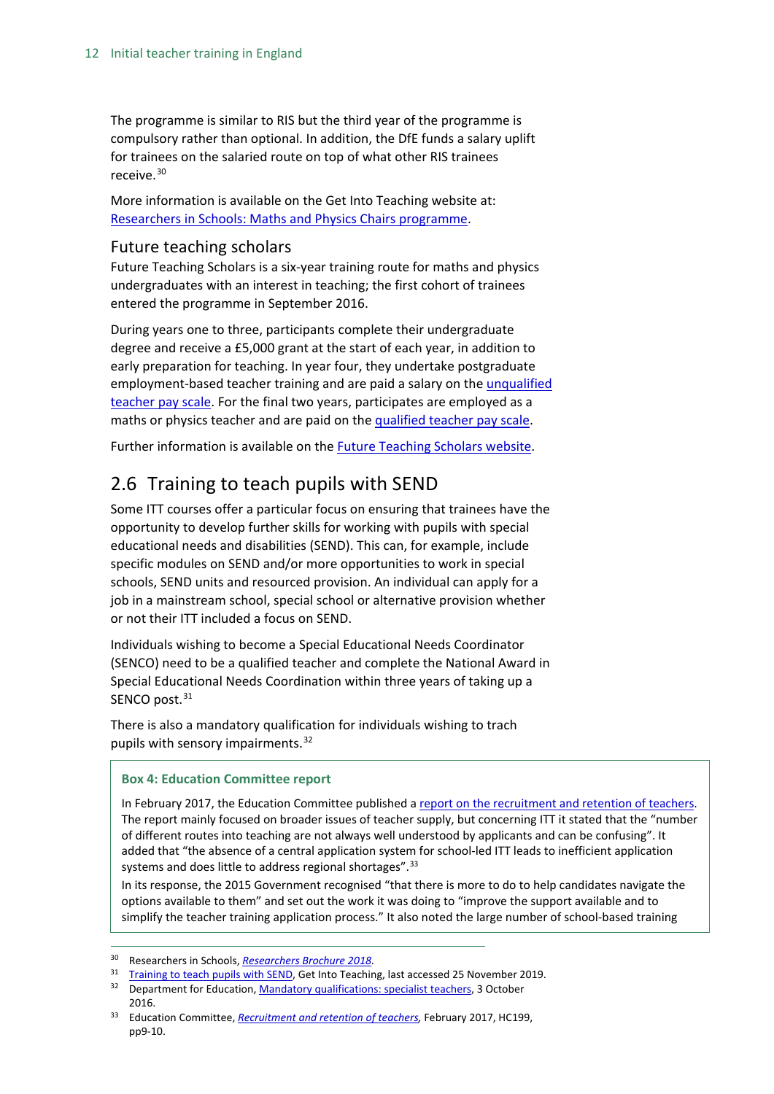The programme is similar to RIS but the third year of the programme is compulsory rather than optional. In addition, the DfE funds a salary uplift for trainees on the salaried route on top of what other RIS trainees receive.[30](#page-11-2)

More information is available on the Get Into Teaching website at: [Researchers in Schools: Maths and Physics Chairs programme.](https://getintoteaching.education.gov.uk/explore-my-options/teacher-training-routes/specialist-training-options/researchers-in-schools)

#### <span id="page-11-0"></span>Future teaching scholars

Future Teaching Scholars is a six-year training route for maths and physics undergraduates with an interest in teaching; the first cohort of trainees entered the programme in September 2016.

During years one to three, participants complete their undergraduate degree and receive a £5,000 grant at the start of each year, in addition to early preparation for teaching. In year four, they undertake postgraduate employment-based teacher training and are paid a salary on the [unqualified](https://getintoteaching.education.gov.uk/funding-and-salary/teacher-salaries)  [teacher pay scale.](https://getintoteaching.education.gov.uk/funding-and-salary/teacher-salaries) For the final two years, participates are employed as a maths or physics teacher and are paid on th[e qualified teacher pay scale.](https://getintoteaching.education.gov.uk/funding-and-salary/teacher-salaries)

Further information is available on the [Future Teaching Scholars website.](https://www.futureteachingscholars.com/programme)

## <span id="page-11-1"></span>2.6 Training to teach pupils with SEND

Some ITT courses offer a particular focus on ensuring that trainees have the opportunity to develop further skills for working with pupils with special educational needs and disabilities (SEND). This can, for example, include specific modules on SEND and/or more opportunities to work in special schools, SEND units and resourced provision. An individual can apply for a job in a mainstream school, special school or alternative provision whether or not their ITT included a focus on SEND.

Individuals wishing to become a Special Educational Needs Coordinator (SENCO) need to be a qualified teacher and complete the National Award in Special Educational Needs Coordination within three years of taking up a SENCO post.<sup>[31](#page-11-3)</sup>

There is also a mandatory qualification for individuals wishing to trach pupils with sensory impairments.<sup>[32](#page-11-4)</sup>

#### **Box 4: Education Committee report**

In February 2017, the Education Committee published a [report on the recruitment and retention of teachers.](https://www.publications.parliament.uk/pa/cm201617/cmselect/cmeduc/638/638.pdf) The report mainly focused on broader issues of teacher supply, but concerning ITT it stated that the "number of different routes into teaching are not always well understood by applicants and can be confusing". It added that "the absence of a central application system for school-led ITT leads to inefficient application systems and does little to address regional shortages".<sup>[33](#page-11-5)</sup>

In its response, the 2015 Government recognised "that there is more to do to help candidates navigate the options available to them" and set out the work it was doing to "improve the support available and to simplify the teacher training application process." It also noted the large number of school-based training

<span id="page-11-2"></span> <sup>30</sup> Researchers in Schools, *[Researchers Brochure 2018.](http://www.researchersinschools.org/wp-content/uploads/2016/11/RIS-Researchers-Brochure-2018.pdf)*

<span id="page-11-3"></span><sup>&</sup>lt;sup>31</sup> [Training to teach pupils with SEND,](https://getintoteaching.education.gov.uk/explore-my-options/training-to-teach-pupils-with-send) Get Into Teaching, last accessed 25 November 2019.

<span id="page-11-4"></span><sup>&</sup>lt;sup>32</sup> Department for Education[, Mandatory qualifications: specialist teachers,](https://www.gov.uk/guidance/mandatory-qualifications-specialist-teachers) 3 October 2016.

<span id="page-11-5"></span><sup>&</sup>lt;sup>33</sup> Education Committee, *Recruitment and retention of teachers*, February 2017, HC199, pp9-10.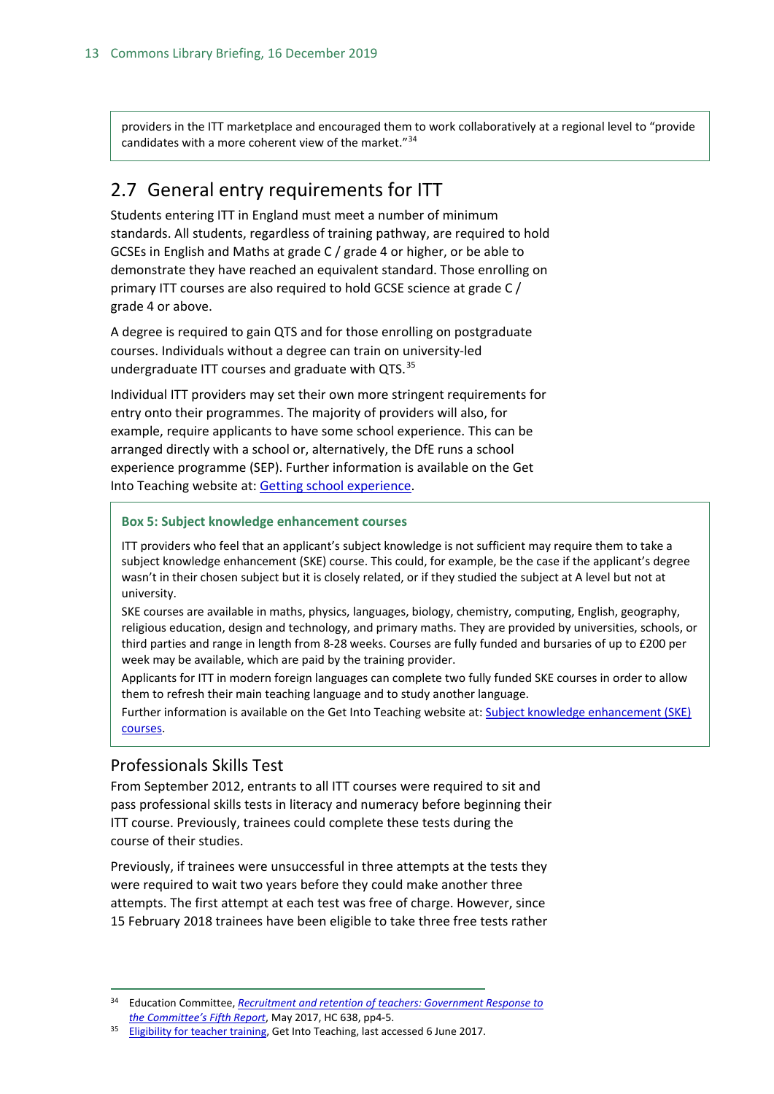providers in the ITT marketplace and encouraged them to work collaboratively at a regional level to "provide candidates with a more coherent view of the market."[34](#page-12-2)

## <span id="page-12-0"></span>2.7 General entry requirements for ITT

Students entering ITT in England must meet a number of minimum standards. All students, regardless of training pathway, are required to hold GCSEs in English and Maths at grade C / grade 4 or higher, or be able to demonstrate they have reached an equivalent standard. Those enrolling on primary ITT courses are also required to hold GCSE science at grade C / grade 4 or above.

A degree is required to gain QTS and for those enrolling on postgraduate courses. Individuals without a degree can train on university-led undergraduate ITT courses and graduate with QTS.<sup>[35](#page-12-3)</sup>

Individual ITT providers may set their own more stringent requirements for entry onto their programmes. The majority of providers will also, for example, require applicants to have some school experience. This can be arranged directly with a school or, alternatively, the DfE runs a school experience programme (SEP). Further information is available on the Get Into Teaching website at: [Getting school experience.](https://getintoteaching.education.gov.uk/school-experience)

**Box 5: Subject knowledge enhancement courses**

ITT providers who feel that an applicant's subject knowledge is not sufficient may require them to take a subject knowledge enhancement (SKE) course. This could, for example, be the case if the applicant's degree wasn't in their chosen subject but it is closely related, or if they studied the subject at A level but not at university.

SKE courses are available in maths, physics, languages, biology, chemistry, computing, English, geography, religious education, design and technology, and primary maths. They are provided by universities, schools, or third parties and range in length from 8-28 weeks. Courses are fully funded and bursaries of up to £200 per week may be available, which are paid by the training provider.

Applicants for ITT in modern foreign languages can complete two fully funded SKE courses in order to allow them to refresh their main teaching language and to study another language.

Further information is available on the Get Into Teaching website at[: Subject knowledge enhancement \(SKE\)](https://getintoteaching.education.gov.uk/explore-my-options/teacher-training-routes/subject-knowledge-enhancement-ske-courses)  [courses.](https://getintoteaching.education.gov.uk/explore-my-options/teacher-training-routes/subject-knowledge-enhancement-ske-courses)

### <span id="page-12-1"></span>Professionals Skills Test

From September 2012, entrants to all ITT courses were required to sit and pass professional skills tests in literacy and numeracy before beginning their ITT course. Previously, trainees could complete these tests during the course of their studies.

Previously, if trainees were unsuccessful in three attempts at the tests they were required to wait two years before they could make another three attempts. The first attempt at each test was free of charge. However, since 15 February 2018 trainees have been eligible to take three free tests rather

<span id="page-12-2"></span> <sup>34</sup> Education Committee, *[Recruitment and retention of teachers: Government Response to](https://www.publications.parliament.uk/pa/cm201617/cmselect/cmeduc/638/638.pdf)  [the Committee's Fifth Report](https://www.publications.parliament.uk/pa/cm201617/cmselect/cmeduc/638/638.pdf)*, May 2017, HC 638, pp4-5.

<span id="page-12-3"></span><sup>&</sup>lt;sup>35</sup> [Eligibility for teacher training,](https://getintoteaching.education.gov.uk/eligibility-for-teacher-training) Get Into Teaching, last accessed 6 June 2017.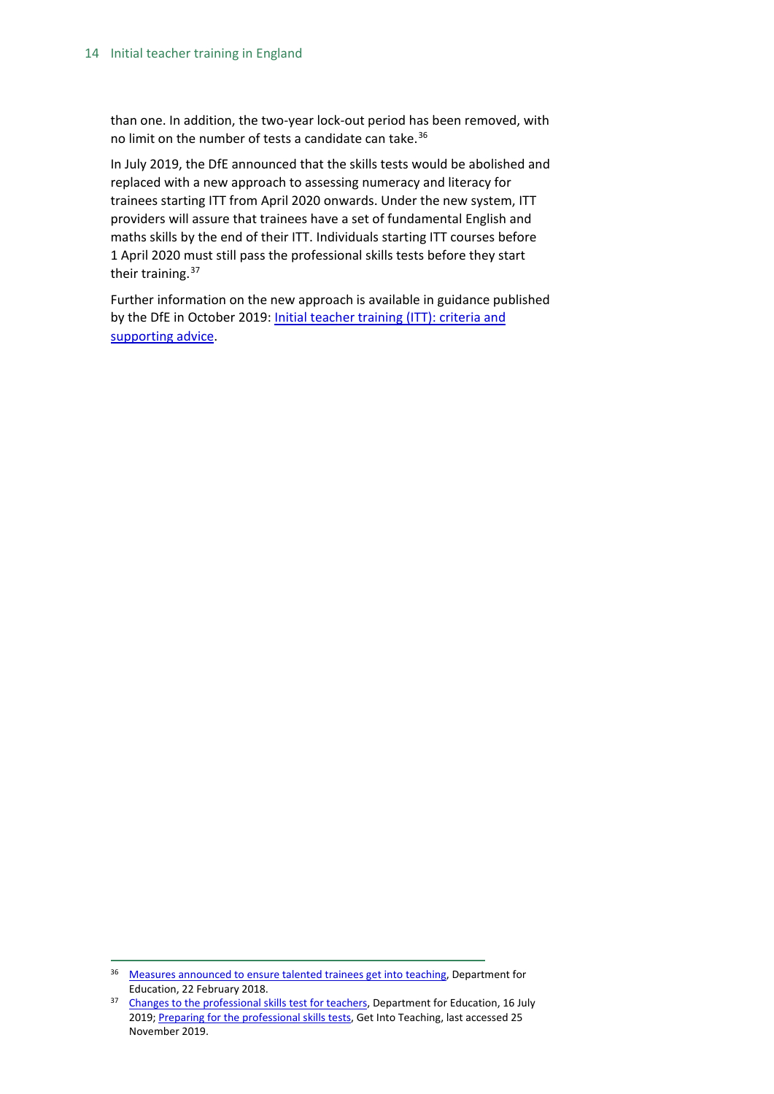than one. In addition, the two-year lock-out period has been removed, with no limit on the number of tests a candidate can take.<sup>[36](#page-13-0)</sup>

In July 2019, the DfE announced that the skills tests would be abolished and replaced with a new approach to assessing numeracy and literacy for trainees starting ITT from April 2020 onwards. Under the new system, ITT providers will assure that trainees have a set of fundamental English and maths skills by the end of their ITT. Individuals starting ITT courses before 1 April 2020 must still pass the professional skills tests before they start their training.<sup>[37](#page-13-1)</sup>

Further information on the new approach is available in guidance published by the DfE in October 2019: Initial teacher training (ITT): criteria and [supporting advice.](https://www.gov.uk/government/publications/initial-teacher-training-criteria/initial-teacher-training-itt-criteria-and-supporting-advice#c14-professional-skills-tests)

<span id="page-13-0"></span> <sup>36</sup> [Measures announced to ensure talented trainees get into teaching,](https://www.gov.uk/government/news/measures-announced-to-ensure-talented-trainees-get-into-teaching%5d) Department for Education, 22 February 2018.

<span id="page-13-1"></span><sup>&</sup>lt;sup>37</sup> [Changes to the professional skills test for teachers,](https://www.gov.uk/government/news/changes-to-the-professional-skills-test-for-teachers) Department for Education, 16 July 2019; [Preparing for the professional skills tests,](https://getintoteaching.education.gov.uk/post-teacher-training-application/preparing-for-the-professional-skills-tests) Get Into Teaching, last accessed 25 November 2019.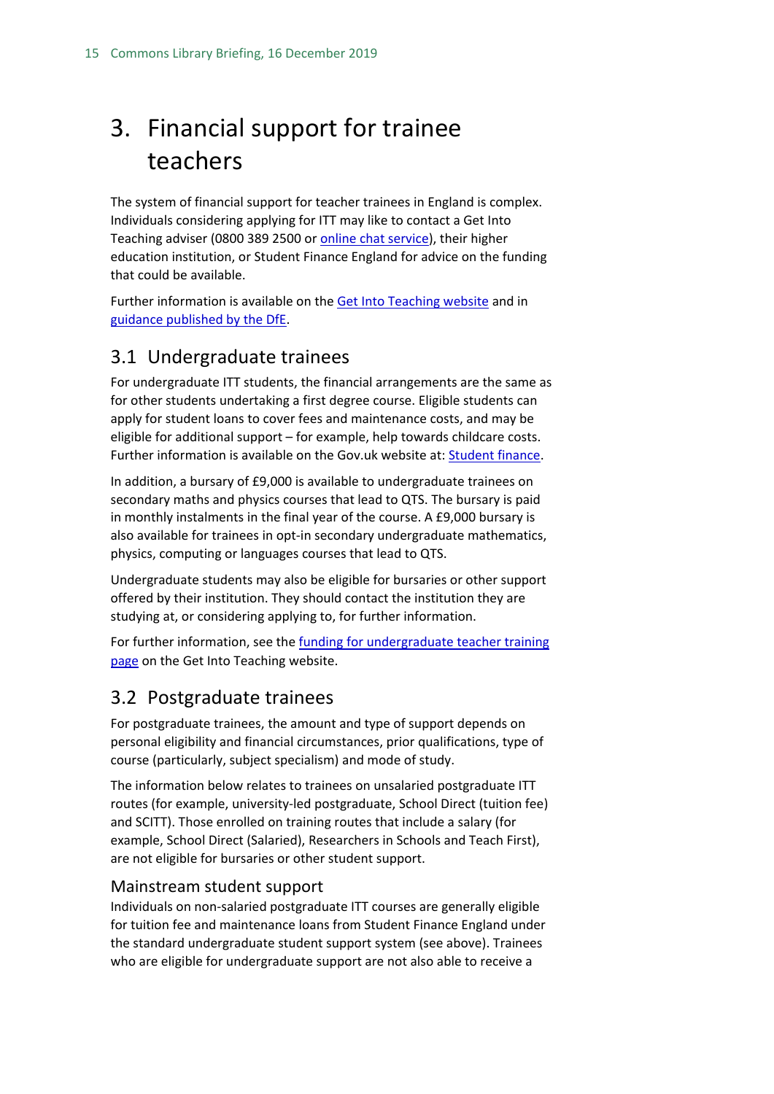## <span id="page-14-0"></span>3. Financial support for trainee teachers

The system of financial support for teacher trainees in England is complex. Individuals considering applying for ITT may like to contact a Get Into Teaching adviser (0800 389 2500 or [online chat service\)](https://ta-chat.education.gov.uk/chat/chatstart.aspx?domain=www.education.gov.uk&department=GetIntoTeaching%27,%27new_win%27,%27width=0,height=0%27);return%20false;%22&SID=0), their higher education institution, or Student Finance England for advice on the funding that could be available.

Further information is available on the [Get Into Teaching website](https://getintoteaching.education.gov.uk/funding-my-teacher-training) and in [guidance published by the DfE.](https://www.gov.uk/guidance/funding-initial-teacher-training-itt-academic-year-2019-to-2020)

## <span id="page-14-1"></span>3.1 Undergraduate trainees

For undergraduate ITT students, the financial arrangements are the same as for other students undertaking a first degree course. Eligible students can apply for student loans to cover fees and maintenance costs, and may be eligible for additional support – for example, help towards childcare costs. Further information is available on the Gov.uk website at: [Student finance.](https://www.gov.uk/student-finance)

In addition, a bursary of £9,000 is available to undergraduate trainees on secondary maths and physics courses that lead to QTS. The bursary is paid in monthly instalments in the final year of the course. A £9,000 bursary is also available for trainees in opt-in secondary undergraduate mathematics, physics, computing or languages courses that lead to QTS.

Undergraduate students may also be eligible for bursaries or other support offered by their institution. They should contact the institution they are studying at, or considering applying to, for further information.

For further information, see the [funding for undergraduate teacher training](https://getintoteaching.education.gov.uk/explore-my-options/teacher-training-routes/university-led-training/university-led-undergraduate-training/funding-for-undergraduate-teacher-training)  [page](https://getintoteaching.education.gov.uk/explore-my-options/teacher-training-routes/university-led-training/university-led-undergraduate-training/funding-for-undergraduate-teacher-training) on the Get Into Teaching website.

## <span id="page-14-2"></span>3.2 Postgraduate trainees

For postgraduate trainees, the amount and type of support depends on personal eligibility and financial circumstances, prior qualifications, type of course (particularly, subject specialism) and mode of study.

The information below relates to trainees on unsalaried postgraduate ITT routes (for example, university-led postgraduate, School Direct (tuition fee) and SCITT). Those enrolled on training routes that include a salary (for example, School Direct (Salaried), Researchers in Schools and Teach First), are not eligible for bursaries or other student support.

#### <span id="page-14-3"></span>Mainstream student support

Individuals on non-salaried postgraduate ITT courses are generally eligible for tuition fee and maintenance loans from Student Finance England under the standard undergraduate student support system (see above). Trainees who are eligible for undergraduate support are not also able to receive a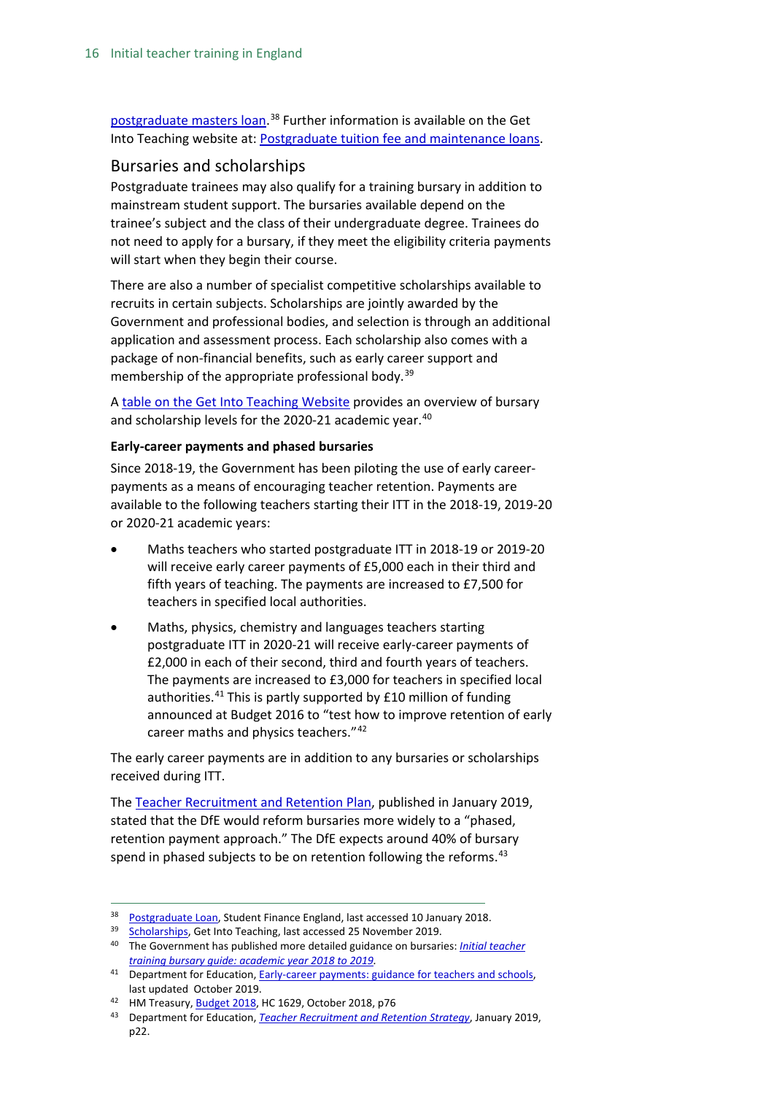[postgraduate masters loan.](http://researchbriefings.parliament.uk/ResearchBriefing/Summary/SN07049)<sup>[38](#page-15-1)</sup> Further information is available on the Get Into Teaching website at: [Postgraduate tuition fee and maintenance loans.](https://getintoteaching.education.gov.uk/funding-and-salary/overview/postgraduate-loans)

#### <span id="page-15-0"></span>Bursaries and scholarships

Postgraduate trainees may also qualify for a training bursary in addition to mainstream student support. The bursaries available depend on the trainee's subject and the class of their undergraduate degree. Trainees do not need to apply for a bursary, if they meet the eligibility criteria payments will start when they begin their course.

There are also a number of specialist competitive scholarships available to recruits in certain subjects. Scholarships are jointly awarded by the Government and professional bodies, and selection is through an additional application and assessment process. Each scholarship also comes with a package of non-financial benefits, such as early career support and membership of the appropriate professional body.<sup>[39](#page-15-2)</sup>

A [table on the Get Into Teaching Website](https://getintoteaching.education.gov.uk/funding-and-salary/overview) provides an overview of bursary and scholarship levels for the 2020-21 academic year.<sup>[40](#page-15-3)</sup>

#### **Early-career payments and phased bursaries**

Since 2018-19, the Government has been piloting the use of early careerpayments as a means of encouraging teacher retention. Payments are available to the following teachers starting their ITT in the 2018-19, 2019-20 or 2020-21 academic years:

- Maths teachers who started postgraduate ITT in 2018-19 or 2019-20 will receive early career payments of £5,000 each in their third and fifth years of teaching. The payments are increased to £7,500 for teachers in specified local authorities.
- Maths, physics, chemistry and languages teachers starting postgraduate ITT in 2020-21 will receive early-career payments of £2,000 in each of their second, third and fourth years of teachers. The payments are increased to £3,000 for teachers in specified local authorities.<sup>[41](#page-15-4)</sup> This is partly supported by £10 million of funding announced at Budget 2016 to "test how to improve retention of early career maths and physics teachers."<sup>[42](#page-15-5)</sup>

The early career payments are in addition to any bursaries or scholarships received during ITT.

The [Teacher Recruitment and Retention Plan,](https://assets.publishing.service.gov.uk/government/uploads/system/uploads/attachment_data/file/773930/Teacher_Retention_Strategy_Report.PDF.pdf) published in January 2019, stated that the DfE would reform bursaries more widely to a "phased, retention payment approach." The DfE expects around 40% of bursary spend in phased subjects to be on retention following the reforms.<sup>[43](#page-15-6)</sup>

<span id="page-15-1"></span><sup>38</sup> [Postgraduate Loan,](https://www.practitioners.slc.co.uk/products/postgraduate-education/postgraduate-loan/) Student Finance England, last accessed 10 January 2018.

<span id="page-15-2"></span><sup>39</sup> [Scholarships,](https://getintoteaching.education.gov.uk/funding-and-salary/overview/scholarships) Get Into Teaching, last accessed 25 November 2019.

<span id="page-15-3"></span><sup>40</sup> The Government has published more detailed guidance on bursaries: *[Initial teacher](https://www.gov.uk/government/publications/initial-teacher-training-bursary-guide-academic-year-2018-to-2019)  [training bursary guide: academic year 2018 to 2019.](https://www.gov.uk/government/publications/initial-teacher-training-bursary-guide-academic-year-2018-to-2019)*

<span id="page-15-4"></span><sup>&</sup>lt;sup>41</sup> Department for Education, **Early-career payments: guidance for teachers and schools**, last updated October 2019.

<span id="page-15-5"></span><sup>&</sup>lt;sup>42</sup> HM Treasury[, Budget 2018,](https://assets.publishing.service.gov.uk/government/uploads/system/uploads/attachment_data/file/752202/Budget_2018_red_web.pdf%5d) HC 1629, October 2018, p76

<span id="page-15-6"></span><sup>43</sup> Department for Education, *[Teacher Recruitment and Retention Strategy](https://assets.publishing.service.gov.uk/government/uploads/system/uploads/attachment_data/file/773930/Teacher_Retention_Strategy_Report.PDF.pdf)*, January 2019, p22.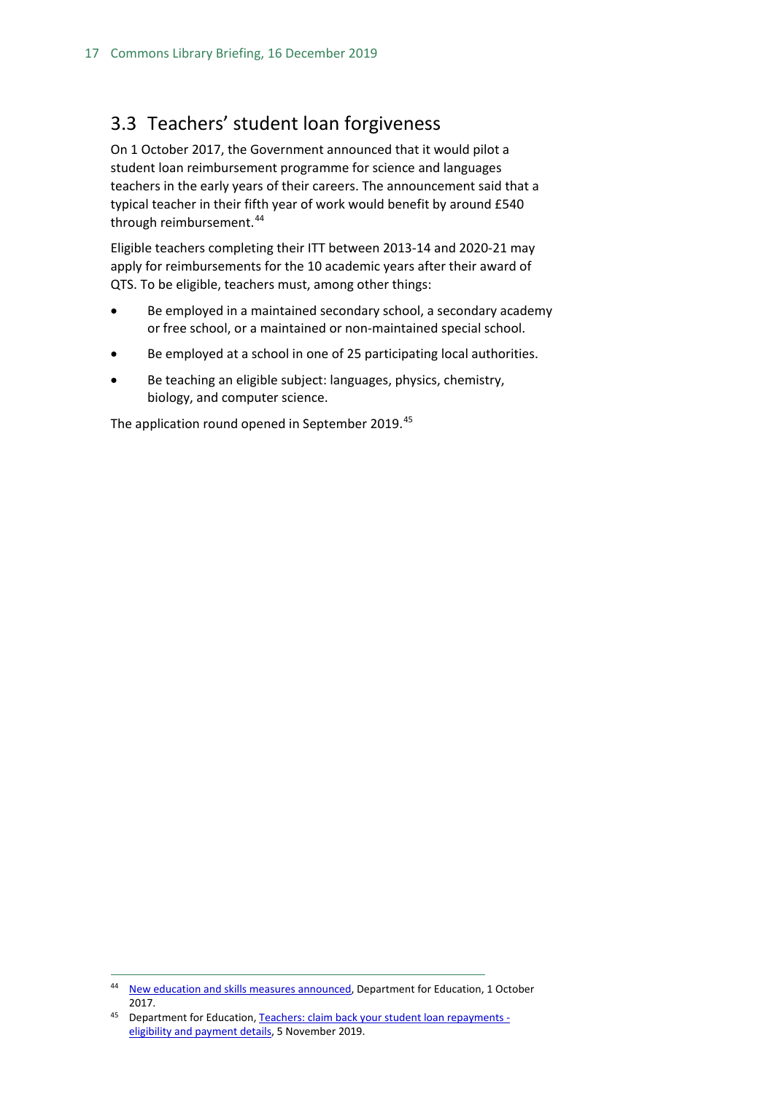## <span id="page-16-0"></span>3.3 Teachers' student loan forgiveness

On 1 October 2017, the Government announced that it would pilot a student loan reimbursement programme for science and languages teachers in the early years of their careers. The announcement said that a typical teacher in their fifth year of work would benefit by around £540 through reimbursement.<sup>[44](#page-16-1)</sup>

Eligible teachers completing their ITT between 2013-14 and 2020-21 may apply for reimbursements for the 10 academic years after their award of QTS. To be eligible, teachers must, among other things:

- Be employed in a maintained secondary school, a secondary academy or free school, or a maintained or non-maintained special school.
- Be employed at a school in one of 25 participating local authorities.
- Be teaching an eligible subject: languages, physics, chemistry, biology, and computer science.

The application round opened in September 2019.<sup>[45](#page-16-2)</sup>

<span id="page-16-1"></span> <sup>44</sup> [New education and skills measures announced,](https://www.gov.uk/government/news/new-education-and-skills-measures-announced) Department for Education, 1 October 2017.

<span id="page-16-2"></span><sup>45</sup> Department for Education[, Teachers: claim back your student loan repayments](https://www.gov.uk/government/publications/additional-payments-for-teaching-eligibility-and-payment-details/teachers-claim-back-your-student-loan-repayments-eligibility-and-payment-details)  [eligibility and payment details,](https://www.gov.uk/government/publications/additional-payments-for-teaching-eligibility-and-payment-details/teachers-claim-back-your-student-loan-repayments-eligibility-and-payment-details) 5 November 2019.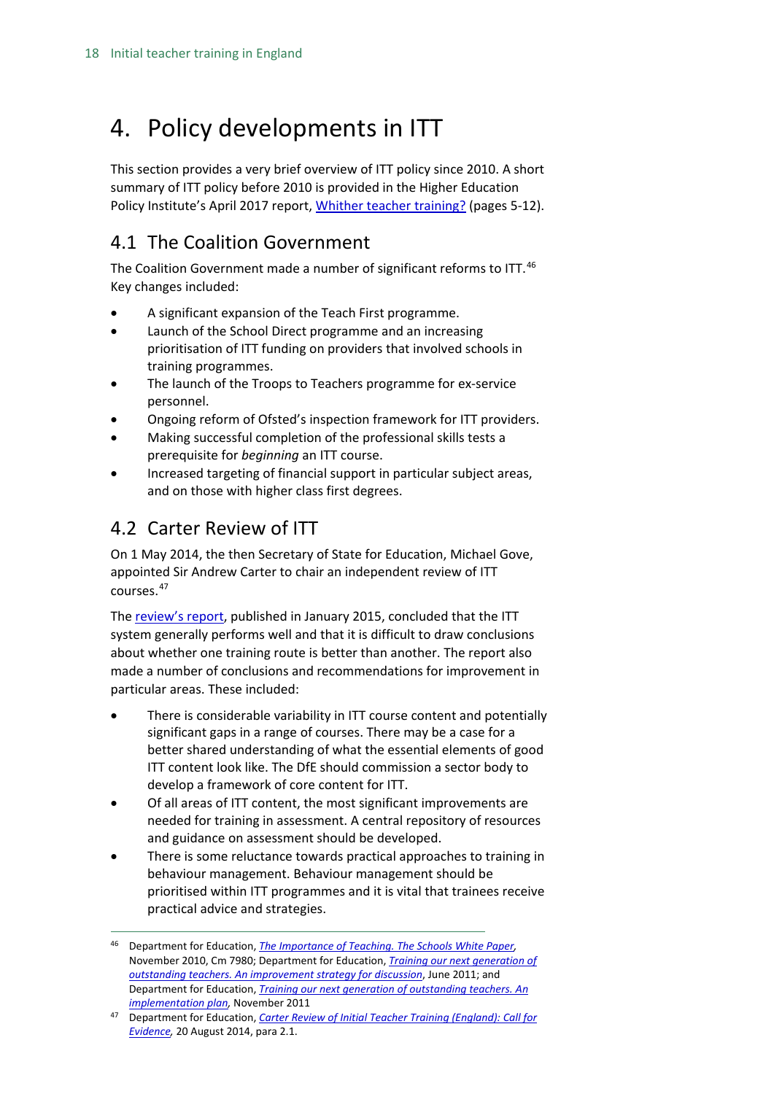## <span id="page-17-0"></span>4. Policy developments in ITT

This section provides a very brief overview of ITT policy since 2010. A short summary of ITT policy before 2010 is provided in the Higher Education Policy Institute's April 2017 report, [Whither teacher training?](http://www.hepi.ac.uk/wp-content/uploads/2017/04/Embargoed-until-00.01am-Thursday-27-April-2017-WHITHER-TEACHER-EDUCATION-AND-TRAINING-Report-95-19_04_17WEB.pdf) (pages 5-12).

## <span id="page-17-1"></span>4.1 The Coalition Government

The Coalition Government made a number of significant reforms to ITT.<sup>[46](#page-17-3)</sup> Key changes included:

- A significant expansion of the Teach First programme.
- Launch of the School Direct programme and an increasing prioritisation of ITT funding on providers that involved schools in training programmes.
- The launch of the Troops to Teachers programme for ex-service personnel.
- Ongoing reform of Ofsted's inspection framework for ITT providers.
- Making successful completion of the professional skills tests a prerequisite for *beginning* an ITT course.
- Increased targeting of financial support in particular subject areas, and on those with higher class first degrees.

## <span id="page-17-2"></span>4.2 Carter Review of ITT

On 1 May 2014, the then Secretary of State for Education, Michael Gove, appointed Sir Andrew Carter to chair an independent review of ITT courses.[47](#page-17-4)

The [review's report,](https://www.gov.uk/government/uploads/system/uploads/attachment_data/file/396391/Carter_Review_16012015.pdf) published in January 2015, concluded that the ITT system generally performs well and that it is difficult to draw conclusions about whether one training route is better than another. The report also made a number of conclusions and recommendations for improvement in particular areas. These included:

- There is considerable variability in ITT course content and potentially significant gaps in a range of courses. There may be a case for a better shared understanding of what the essential elements of good ITT content look like. The DfE should commission a sector body to develop a framework of core content for ITT.
- Of all areas of ITT content, the most significant improvements are needed for training in assessment. A central repository of resources and guidance on assessment should be developed.
- There is some reluctance towards practical approaches to training in behaviour management. Behaviour management should be prioritised within ITT programmes and it is vital that trainees receive practical advice and strategies.

<span id="page-17-3"></span> <sup>46</sup> Department for Education, *[The Importance of Teaching. The Schools White Paper,](http://www.education.gov.uk/schools/toolsandinitiatives/schoolswhitepaper/b0068570/the-importance-of-teaching)*  November 2010, Cm 7980; Department for Education, *[Training our next generation of](http://media.education.gov.uk/assets/files/pdf/t/training%20our%20next%20generation%20of%20outstanding%20teachers.pdf)  [outstanding teachers. An improvement strategy for discussion](http://media.education.gov.uk/assets/files/pdf/t/training%20our%20next%20generation%20of%20outstanding%20teachers.pdf)*, June 2011; and Department for Education, *[Training our next generation of outstanding teachers. An](https://www.gov.uk/government/uploads/system/uploads/attachment_data/file/181154/DFE-00083-2011.pdf)  [implementation plan,](https://www.gov.uk/government/uploads/system/uploads/attachment_data/file/181154/DFE-00083-2011.pdf)* November 2011

<span id="page-17-4"></span><sup>47</sup> Department for Education, *[Carter Review of Initial Teacher Training \(England\): Call for](https://www.gov.uk/government/uploads/system/uploads/attachment_data/file/346051/Consultation_Document_-_Carter_Review_Final.pdf)  [Evidence,](https://www.gov.uk/government/uploads/system/uploads/attachment_data/file/346051/Consultation_Document_-_Carter_Review_Final.pdf)* 20 August 2014, para 2.1.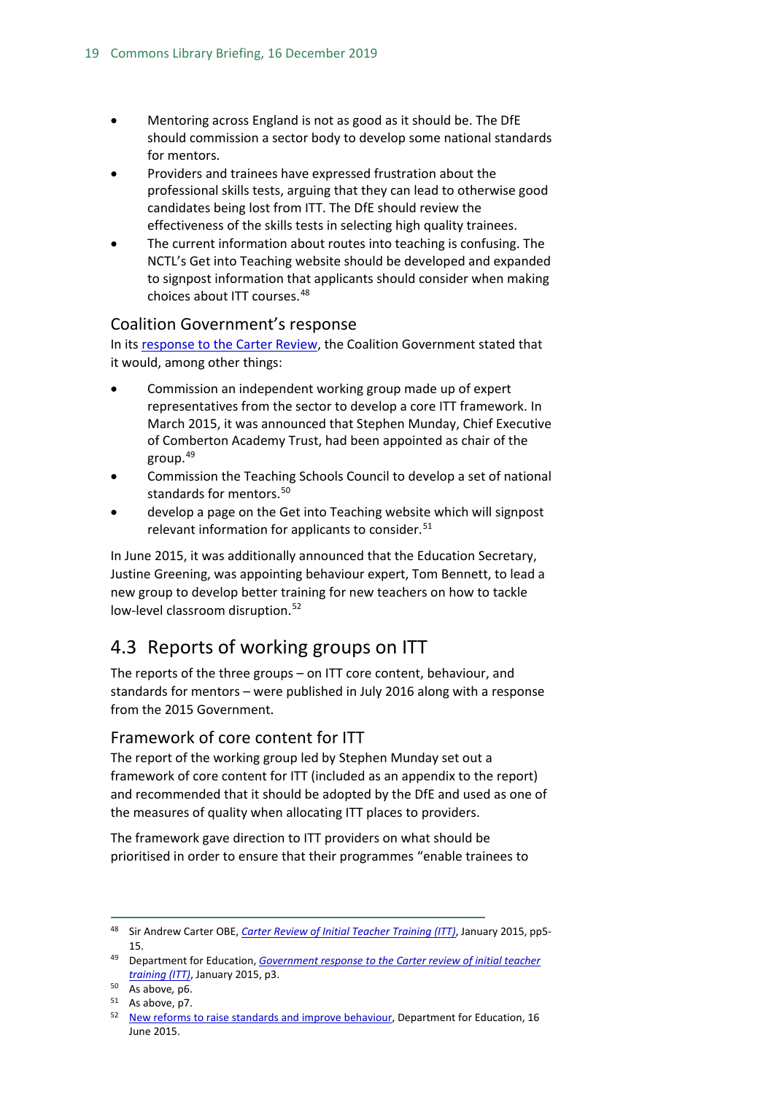- Mentoring across England is not as good as it should be. The DfE should commission a sector body to develop some national standards for mentors.
- Providers and trainees have expressed frustration about the professional skills tests, arguing that they can lead to otherwise good candidates being lost from ITT. The DfE should review the effectiveness of the skills tests in selecting high quality trainees.
- The current information about routes into teaching is confusing. The NCTL's Get into Teaching website should be developed and expanded to signpost information that applicants should consider when making choices about ITT courses.[48](#page-18-3)

#### <span id="page-18-0"></span>Coalition Government's response

In its [response to the Carter Review,](https://www.gov.uk/government/news/new-headteacher-standards-and-review-of-itt-published) the Coalition Government stated that it would, among other things:

- Commission an independent working group made up of expert representatives from the sector to develop a core ITT framework. In March 2015, it was announced that Stephen Munday, Chief Executive of Comberton Academy Trust, had been appointed as chair of the group. $49$
- Commission the Teaching Schools Council to develop a set of national standards for mentors. [50](#page-18-5)
- develop a page on the Get into Teaching website which will signpost relevant information for applicants to consider.<sup>[51](#page-18-6)</sup>

In June 2015, it was additionally announced that the Education Secretary, Justine Greening, was appointing behaviour expert, Tom Bennett, to lead a new group to develop better training for new teachers on how to tackle low-level classroom disruption.<sup>[52](#page-18-7)</sup>

## <span id="page-18-1"></span>4.3 Reports of working groups on ITT

The reports of the three groups – on ITT core content, behaviour, and standards for mentors – were published in July 2016 along with a response from the 2015 Government.

#### <span id="page-18-2"></span>Framework of core content for ITT

The report of the working group led by Stephen Munday set out a framework of core content for ITT (included as an appendix to the report) and recommended that it should be adopted by the DfE and used as one of the measures of quality when allocating ITT places to providers.

The framework gave direction to ITT providers on what should be prioritised in order to ensure that their programmes "enable trainees to

<span id="page-18-3"></span> <sup>48</sup> Sir Andrew Carter OBE, *[Carter Review of Initial Teacher Training \(ITT\)](https://www.gov.uk/government/uploads/system/uploads/attachment_data/file/396391/Carter_Review_16012015.pdf)*, January 2015, pp5- 15.

<span id="page-18-4"></span><sup>49</sup> Department for Education, *[Government response to the Carter review of initial teacher](https://www.gov.uk/government/uploads/system/uploads/attachment_data/file/396461/Carter_Review_Government_response_20150119.pdf)  [training \(ITT\)](https://www.gov.uk/government/uploads/system/uploads/attachment_data/file/396461/Carter_Review_Government_response_20150119.pdf)*, January 2015, p3.

<span id="page-18-5"></span><sup>50</sup> As above*,* p6.

<span id="page-18-7"></span><span id="page-18-6"></span><sup>51</sup> As above, p7.

<sup>&</sup>lt;sup>52</sup> [New reforms to raise standards and improve behaviour,](https://www.gov.uk/government/news/new-reforms-to-raise-standards-and-improve-behaviour) Department for Education, 16 June 2015.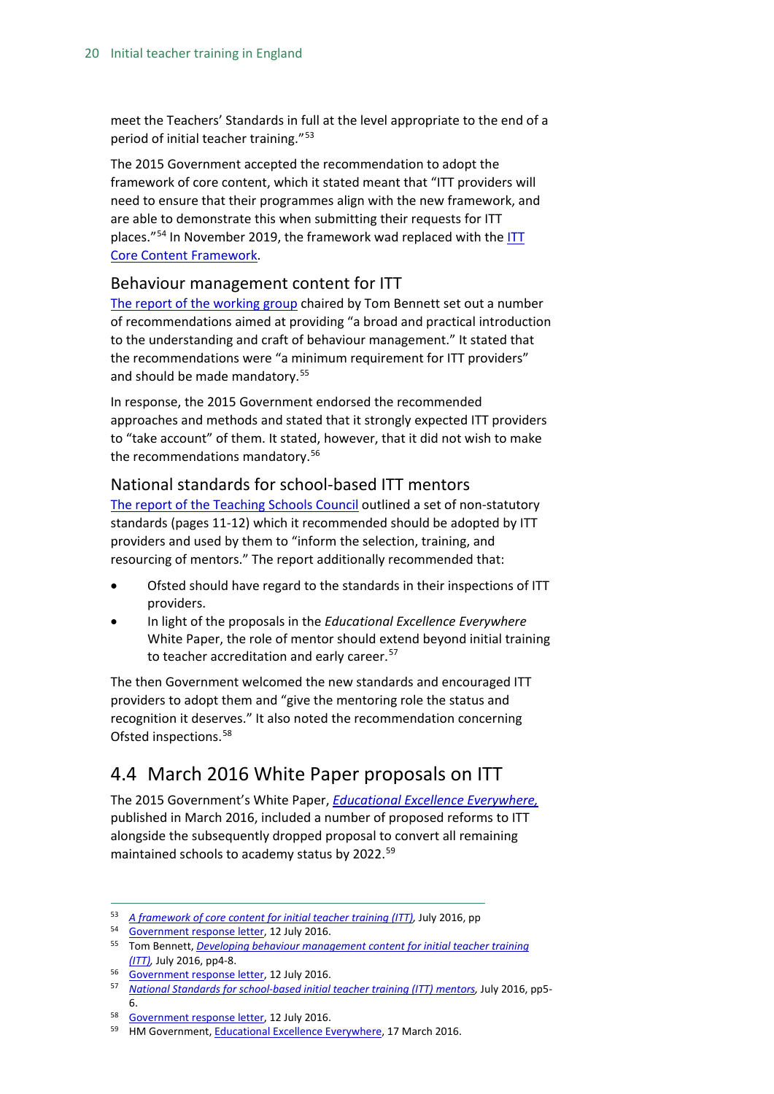meet the Teachers' Standards in full at the level appropriate to the end of a period of initial teacher training."<sup>[53](#page-19-3)</sup>

The 2015 Government accepted the recommendation to adopt the framework of core content, which it stated meant that "ITT providers will need to ensure that their programmes align with the new framework, and are able to demonstrate this when submitting their requests for ITT places.<sup>"[54](#page-19-4)</sup> In November 2019, the framework wad replaced with the ITT [Core Content Framework.](https://www.gov.uk/government/publications/initial-teacher-training-itt-core-content-framework)

#### <span id="page-19-0"></span>Behaviour management content for ITT

[The report of the working group](https://www.gov.uk/government/uploads/system/uploads/attachment_data/file/536889/Behaviour_Management_report_final__11_July_2016.pdf) chaired by Tom Bennett set out a number of recommendations aimed at providing "a broad and practical introduction to the understanding and craft of behaviour management." It stated that the recommendations were "a minimum requirement for ITT providers" and should be made mandatory.<sup>[55](#page-19-5)</sup>

In response, the 2015 Government endorsed the recommended approaches and methods and stated that it strongly expected ITT providers to "take account" of them. It stated, however, that it did not wish to make the recommendations mandatory.<sup>[56](#page-19-6)</sup>

#### <span id="page-19-1"></span>National standards for school-based ITT mentors

[The report of the Teaching Schools Council](https://www.gov.uk/government/uploads/system/uploads/attachment_data/file/536891/Mentor_standards_report_Final.pdf) outlined a set of non-statutory standards (pages 11-12) which it recommended should be adopted by ITT providers and used by them to "inform the selection, training, and resourcing of mentors." The report additionally recommended that:

- Ofsted should have regard to the standards in their inspections of ITT providers.
- In light of the proposals in the *Educational Excellence Everywhere*  White Paper, the role of mentor should extend beyond initial training to teacher accreditation and early career.<sup>[57](#page-19-7)</sup>

The then Government welcomed the new standards and encouraged ITT providers to adopt them and "give the mentoring role the status and recognition it deserves." It also noted the recommendation concerning Ofsted inspections.[58](#page-19-8)

## <span id="page-19-2"></span>4.4 March 2016 White Paper proposals on ITT

The 2015 Government's White Paper, *[Educational Excellence Everywhere,](https://www.gov.uk/government/uploads/system/uploads/attachment_data/file/508447/Educational_Excellence_Everywhere.pdf)* published in March 2016, included a number of proposed reforms to ITT alongside the subsequently dropped proposal to convert all remaining maintained schools to academy status by 2022.<sup>[59](#page-19-9)</sup>

<span id="page-19-3"></span> <sup>53</sup> *[A framework of core content for initial teacher training \(ITT\),](https://www.gov.uk/government/uploads/system/uploads/attachment_data/file/536890/Framework_Report_11_July_2016_Final.pdf)* July 2016, pp

<span id="page-19-5"></span><span id="page-19-4"></span><sup>54</sup> [Government response letter,](https://www.gov.uk/government/uploads/system/uploads/attachment_data/file/536916/Govt_response_-_ITT.pdf) 12 July 2016.

<sup>55</sup> Tom Bennett, *[Developing behaviour management content for initial teacher training](https://www.gov.uk/government/uploads/system/uploads/attachment_data/file/536889/Behaviour_Management_report_final__11_July_2016.pdf)  [\(ITT\),](https://www.gov.uk/government/uploads/system/uploads/attachment_data/file/536889/Behaviour_Management_report_final__11_July_2016.pdf)* July 2016, pp4-8.

<span id="page-19-6"></span><sup>56</sup> [Government response letter,](https://www.gov.uk/government/uploads/system/uploads/attachment_data/file/536916/Govt_response_-_ITT.pdf) 12 July 2016.

<span id="page-19-7"></span><sup>&</sup>lt;sup>57</sup> [National Standards for school-based initial teacher training \(ITT\) mentors,](https://www.gov.uk/government/uploads/system/uploads/attachment_data/file/536891/Mentor_standards_report_Final.pdf) July 2016, pp5-6.

<span id="page-19-8"></span><sup>58</sup> [Government response letter,](https://www.gov.uk/government/uploads/system/uploads/attachment_data/file/536916/Govt_response_-_ITT.pdf) 12 July 2016.

<span id="page-19-9"></span><sup>59</sup> HM Government[, Educational Excellence Everywhere,](https://www.gov.uk/government/uploads/system/uploads/attachment_data/file/508447/Educational_Excellence_Everywhere.pdf) 17 March 2016.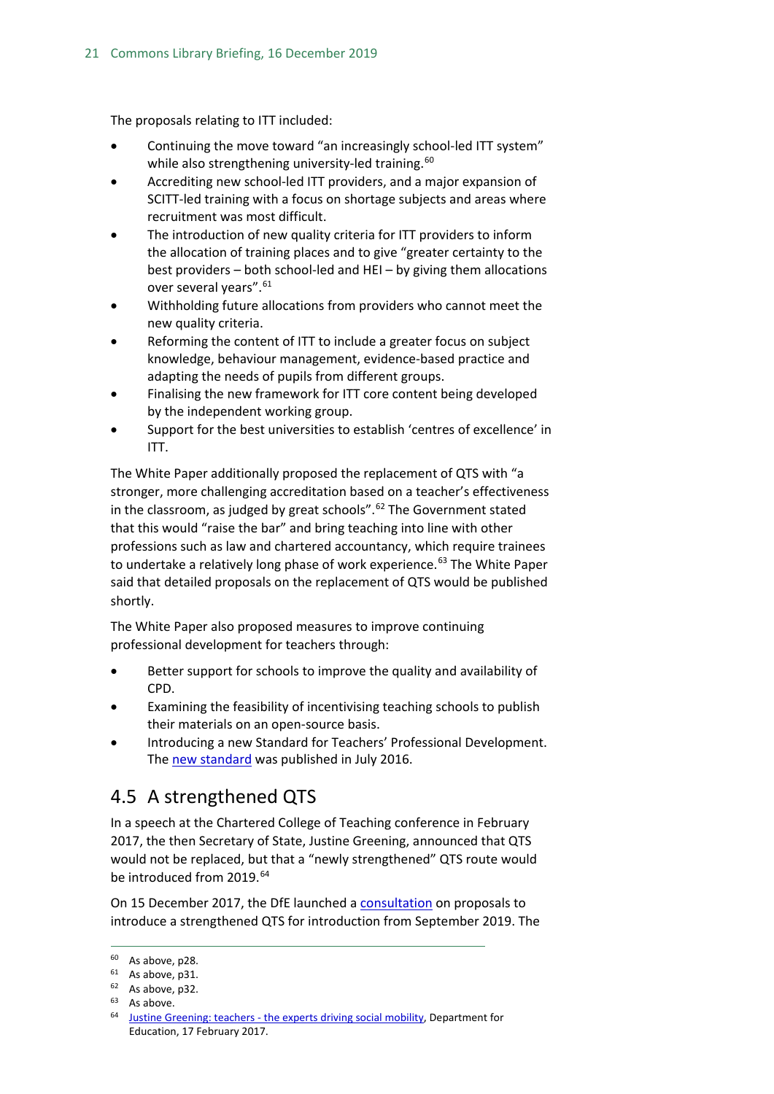The proposals relating to ITT included:

- Continuing the move toward "an increasingly school-led ITT system" while also strengthening university-led training.<sup>[60](#page-20-1)</sup>
- Accrediting new school-led ITT providers, and a major expansion of SCITT-led training with a focus on shortage subjects and areas where recruitment was most difficult.
- The introduction of new quality criteria for ITT providers to inform the allocation of training places and to give "greater certainty to the best providers – both school-led and HEI – by giving them allocations over several years".[61](#page-20-2)
- Withholding future allocations from providers who cannot meet the new quality criteria.
- Reforming the content of ITT to include a greater focus on subject knowledge, behaviour management, evidence-based practice and adapting the needs of pupils from different groups.
- Finalising the new framework for ITT core content being developed by the independent working group.
- Support for the best universities to establish 'centres of excellence' in ITT.

The White Paper additionally proposed the replacement of QTS with "a stronger, more challenging accreditation based on a teacher's effectiveness in the classroom, as judged by great schools". $62$  The Government stated that this would "raise the bar" and bring teaching into line with other professions such as law and chartered accountancy, which require trainees to undertake a relatively long phase of work experience.<sup>[63](#page-20-4)</sup> The White Paper said that detailed proposals on the replacement of QTS would be published shortly.

The White Paper also proposed measures to improve continuing professional development for teachers through:

- Better support for schools to improve the quality and availability of CPD.
- Examining the feasibility of incentivising teaching schools to publish their materials on an open-source basis.
- Introducing a new Standard for Teachers' Professional Development. Th[e new standard](https://www.gov.uk/government/publications/standard-for-teachers-professional-development) was published in July 2016.

## <span id="page-20-0"></span>4.5 A strengthened QTS

In a speech at the Chartered College of Teaching conference in February 2017, the then Secretary of State, Justine Greening, announced that QTS would not be replaced, but that a "newly strengthened" QTS route would be introduced from 2019. [64](#page-20-5)

On 15 December 2017, the DfE launched a [consultation](https://consult.education.gov.uk/teaching-profession-unit/strengthening-qts-and-improving-career-progression/supporting_documents/Strengthening%20Qualified%20Teacher%20Status%20and%20improving%20career%20progression%20for%20teachers%20consultation.pdf) on proposals to introduce a strengthened QTS for introduction from September 2019. The

 $60$  As above, p28.

<span id="page-20-2"></span><span id="page-20-1"></span> $61$  As above, p31.

<span id="page-20-4"></span><span id="page-20-3"></span> $62$  As above, p32.

<span id="page-20-5"></span><sup>&</sup>lt;sup>63</sup> As above.<br><sup>64</sup> Justine Greening: teachers - [the experts driving social mobility,](https://www.gov.uk/government/speeches/justine-greening-teachers-the-experts-driving-social-mobility) Department for Education, 17 February 2017.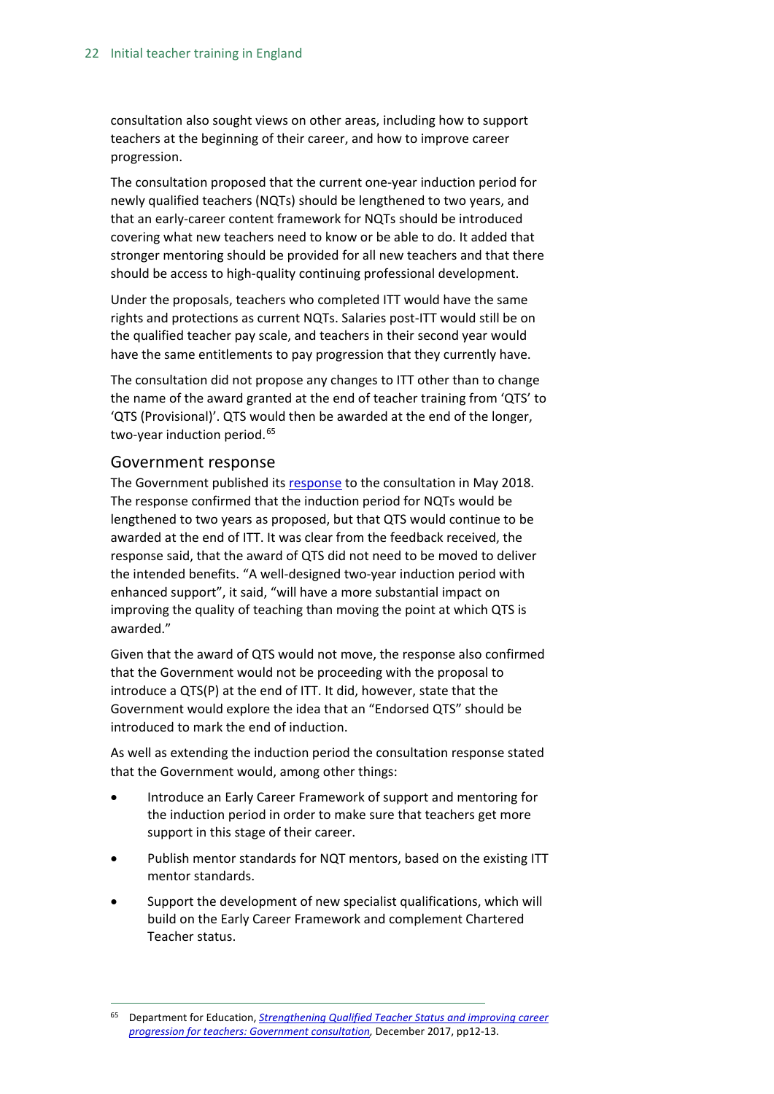consultation also sought views on other areas, including how to support teachers at the beginning of their career, and how to improve career progression.

The consultation proposed that the current one-year induction period for newly qualified teachers (NQTs) should be lengthened to two years, and that an early-career content framework for NQTs should be introduced covering what new teachers need to know or be able to do. It added that stronger mentoring should be provided for all new teachers and that there should be access to high-quality continuing professional development.

Under the proposals, teachers who completed ITT would have the same rights and protections as current NQTs. Salaries post-ITT would still be on the qualified teacher pay scale, and teachers in their second year would have the same entitlements to pay progression that they currently have.

The consultation did not propose any changes to ITT other than to change the name of the award granted at the end of teacher training from 'QTS' to 'QTS (Provisional)'. QTS would then be awarded at the end of the longer, two-year induction period.<sup>[65](#page-21-0)</sup>

#### Government response

The Government published its [response](https://www.gov.uk/government/consultations/strengthening-qualified-teacher-status-and-career-progression?utm_source=8bdf41d3-e9a1-4b40-bc59-bfb68683e1b3&utm_medium=email&utm_campaign=govuk-notifications&utm_content=immediate) to the consultation in May 2018. The response confirmed that the induction period for NQTs would be lengthened to two years as proposed, but that QTS would continue to be awarded at the end of ITT. It was clear from the feedback received, the response said, that the award of QTS did not need to be moved to deliver the intended benefits. "A well-designed two-year induction period with enhanced support", it said, "will have a more substantial impact on improving the quality of teaching than moving the point at which QTS is awarded."

Given that the award of QTS would not move, the response also confirmed that the Government would not be proceeding with the proposal to introduce a QTS(P) at the end of ITT. It did, however, state that the Government would explore the idea that an "Endorsed QTS" should be introduced to mark the end of induction.

As well as extending the induction period the consultation response stated that the Government would, among other things:

- Introduce an Early Career Framework of support and mentoring for the induction period in order to make sure that teachers get more support in this stage of their career.
- Publish mentor standards for NQT mentors, based on the existing ITT mentor standards.
- Support the development of new specialist qualifications, which will build on the Early Career Framework and complement Chartered Teacher status.

<span id="page-21-0"></span> <sup>65</sup> Department for Education, *[Strengthening Qualified Teacher Status and improving career](https://consult.education.gov.uk/teaching-profession-unit/strengthening-qts-and-improving-career-progression/supporting_documents/Strengthening%20Qualified%20Teacher%20Status%20and%20improving%20career%20progression%20for%20teachers%20consultation.pdf)  [progression for teachers: Government consultation,](https://consult.education.gov.uk/teaching-profession-unit/strengthening-qts-and-improving-career-progression/supporting_documents/Strengthening%20Qualified%20Teacher%20Status%20and%20improving%20career%20progression%20for%20teachers%20consultation.pdf)* December 2017, pp12-13.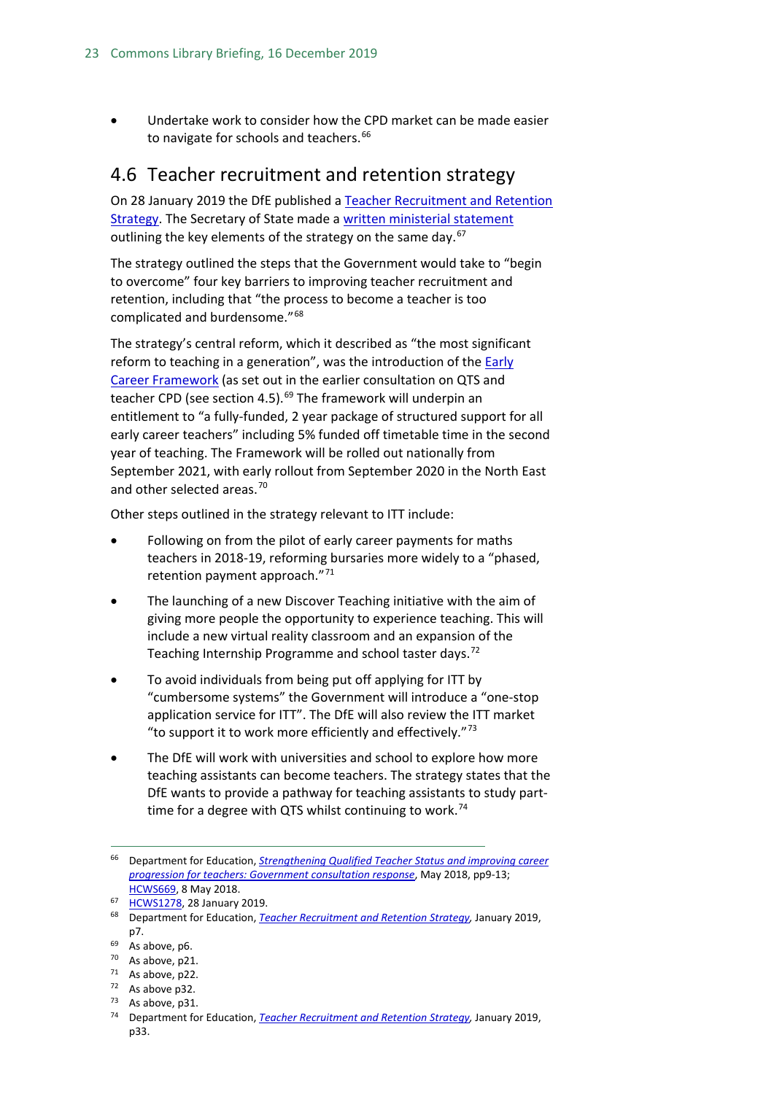• Undertake work to consider how the CPD market can be made easier to navigate for schools and teachers.<sup>[66](#page-22-1)</sup>

## <span id="page-22-0"></span>4.6 Teacher recruitment and retention strategy

On 28 January 2019 the DfE published a [Teacher Recruitment and Retention](https://assets.publishing.service.gov.uk/government/uploads/system/uploads/attachment_data/file/773930/Teacher_Retention_Strategy_Report.PDF.pdf)  [Strategy.](https://assets.publishing.service.gov.uk/government/uploads/system/uploads/attachment_data/file/773930/Teacher_Retention_Strategy_Report.PDF.pdf) The Secretary of State made a [written ministerial statement](https://www.parliament.uk/business/publications/written-questions-answers-statements/written-statement/Commons/2019-01-28/HCWS1278) outlining the key elements of the strategy on the same day.<sup>[67](#page-22-2)</sup>

The strategy outlined the steps that the Government would take to "begin to overcome" four key barriers to improving teacher recruitment and retention, including that "the process to become a teacher is too complicated and burdensome."<sup>[68](#page-22-3)</sup>

The strategy's central reform, which it described as "the most significant reform to teaching in a generation", was the introduction of the Early [Career Framework](https://www.gov.uk/government/publications/supporting-early-career-teachers) (as set out in the earlier consultation on QTS and teacher CPD (see section 4.5). $69$  The framework will underpin an entitlement to "a fully-funded, 2 year package of structured support for all early career teachers" including 5% funded off timetable time in the second year of teaching. The Framework will be rolled out nationally from September 2021, with early rollout from September 2020 in the North East and other selected areas.<sup>[70](#page-22-5)</sup>

Other steps outlined in the strategy relevant to ITT include:

- Following on from the pilot of early career payments for maths teachers in 2018-19, reforming bursaries more widely to a "phased, retention payment approach."[71](#page-22-6)
- The launching of a new Discover Teaching initiative with the aim of giving more people the opportunity to experience teaching. This will include a new virtual reality classroom and an expansion of the Teaching Internship Programme and school taster days.<sup>[72](#page-22-7)</sup>
- To avoid individuals from being put off applying for ITT by "cumbersome systems" the Government will introduce a "one-stop application service for ITT". The DfE will also review the ITT market "to support it to work more efficiently and effectively." $73$
- The DfE will work with universities and school to explore how more teaching assistants can become teachers. The strategy states that the DfE wants to provide a pathway for teaching assistants to study part-time for a degree with QTS whilst continuing to work.<sup>[74](#page-22-9)</sup>

<span id="page-22-1"></span> <sup>66</sup> Department for Education, *[Strengthening Qualified Teacher Status and improving career](https://assets.publishing.service.gov.uk/government/uploads/system/uploads/attachment_data/file/704942/Government_consultation_response_-_QTS_and_career_progression.pdf)  [progression for teachers: Government consultation response](https://assets.publishing.service.gov.uk/government/uploads/system/uploads/attachment_data/file/704942/Government_consultation_response_-_QTS_and_career_progression.pdf)*, May 2018, pp9-13; [HCWS669,](https://www.parliament.uk/business/publications/written-questions-answers-statements/written-statement/Commons/2018-05-08/HCWS669) 8 May 2018.

<span id="page-22-2"></span><sup>67</sup> [HCWS1278,](https://www.parliament.uk/business/publications/written-questions-answers-statements/written-statement/Commons/2019-01-28/HCWS1278) 28 January 2019.

<span id="page-22-3"></span><sup>68</sup> Department for Education, *[Teacher Recruitment and Retention Strategy,](https://assets.publishing.service.gov.uk/government/uploads/system/uploads/attachment_data/file/773930/Teacher_Retention_Strategy_Report.PDF.pdf)* January 2019, p7.

<span id="page-22-4"></span><sup>69</sup> As above, p6.

<span id="page-22-5"></span><sup>&</sup>lt;sup>70</sup> As above, p21.<br><sup>71</sup> As above, p22.

<span id="page-22-7"></span><span id="page-22-6"></span> $72$  As above p32.

<span id="page-22-8"></span> $73$  As above, p31.

<span id="page-22-9"></span><sup>74</sup> Department for Education, *[Teacher Recruitment and Retention Strategy,](https://assets.publishing.service.gov.uk/government/uploads/system/uploads/attachment_data/file/773930/Teacher_Retention_Strategy_Report.PDF.pdf)* January 2019, p33.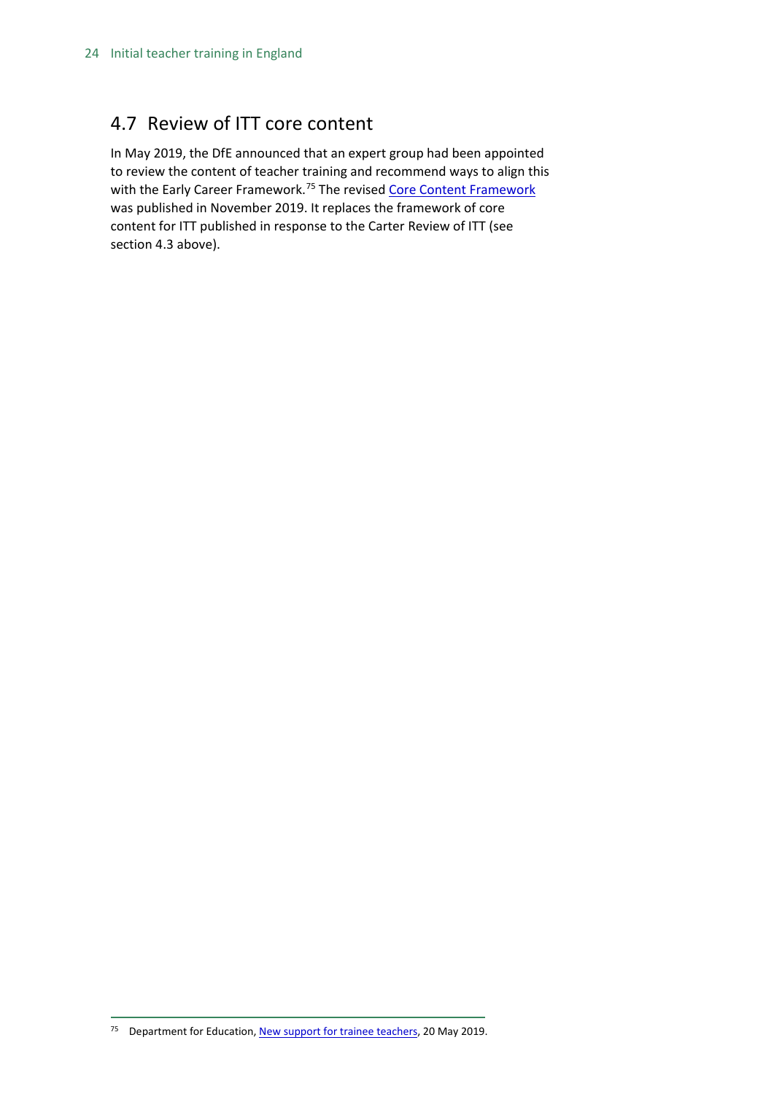## <span id="page-23-0"></span>4.7 Review of ITT core content

In May 2019, the DfE announced that an expert group had been appointed to review the content of teacher training and recommend ways to align this with the Early Career Framework.<sup>[75](#page-23-1)</sup> The revised [Core Content Framework](https://www.gov.uk/government/publications/initial-teacher-training-itt-core-content-framework) was published in November 2019. It replaces the framework of core content for ITT published in response to the Carter Review of ITT (see section 4.3 above).

<span id="page-23-1"></span><sup>75</sup> Department for Education[, New support for trainee teachers,](https://www.gov.uk/government/news/new-support-for-trainee-teachers) 20 May 2019.